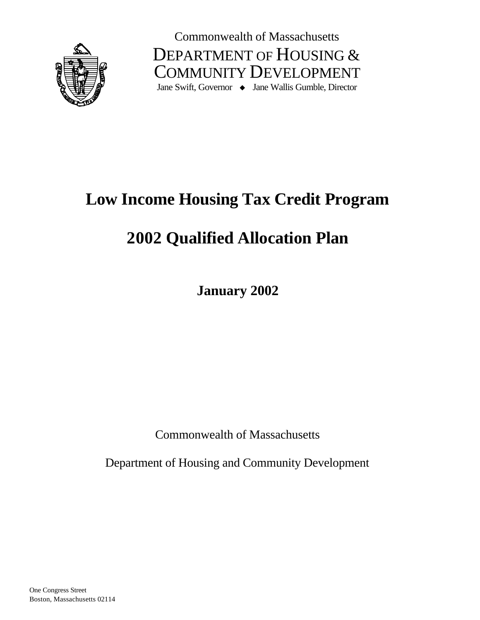

Commonwealth of Massachusetts DEPARTMENT OF HOUSING & COMMUNITY DEVELOPMENT Jane Swift, Governor  $\rightarrow$  Jane Wallis Gumble, Director

# **Low Income Housing Tax Credit Program**

# **2002 Qualified Allocation Plan**

**January 2002**

Commonwealth of Massachusetts

Department of Housing and Community Development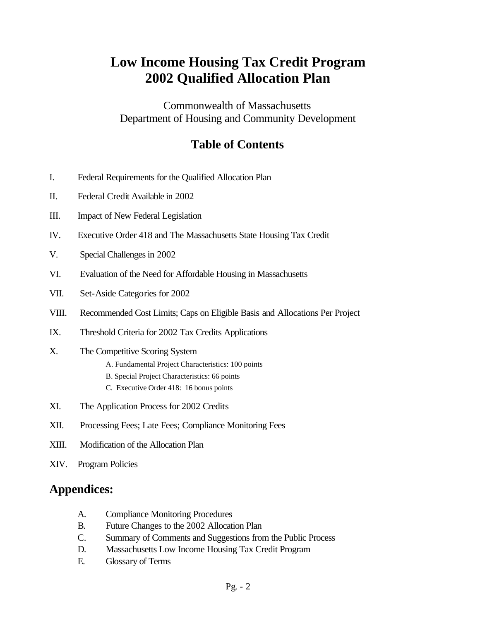# **Low Income Housing Tax Credit Program 2002 Qualified Allocation Plan**

Commonwealth of Massachusetts Department of Housing and Community Development

# **Table of Contents**

- I. Federal Requirements for the Qualified Allocation Plan
- II. Federal Credit Available in 2002
- III. Impact of New Federal Legislation
- IV. Executive Order 418 and The Massachusetts State Housing Tax Credit
- V. Special Challenges in 2002
- VI. Evaluation of the Need for Affordable Housing in Massachusetts
- VII. Set-Aside Categories for 2002
- VIII. Recommended Cost Limits; Caps on Eligible Basis and Allocations Per Project
- IX. Threshold Criteria for 2002 Tax Credits Applications
- X. The Competitive Scoring System
	- A. Fundamental Project Characteristics: 100 points
	- B. Special Project Characteristics: 66 points
	- C. Executive Order 418: 16 bonus points
- XI. The Application Process for 2002 Credits
- XII. Processing Fees; Late Fees; Compliance Monitoring Fees
- XIII. Modification of the Allocation Plan
- XIV. Program Policies

# **Appendices:**

- A. Compliance Monitoring Procedures
- B. Future Changes to the 2002 Allocation Plan
- C. Summary of Comments and Suggestions from the Public Process
- D. Massachusetts Low Income Housing Tax Credit Program
- E. Glossary of Terms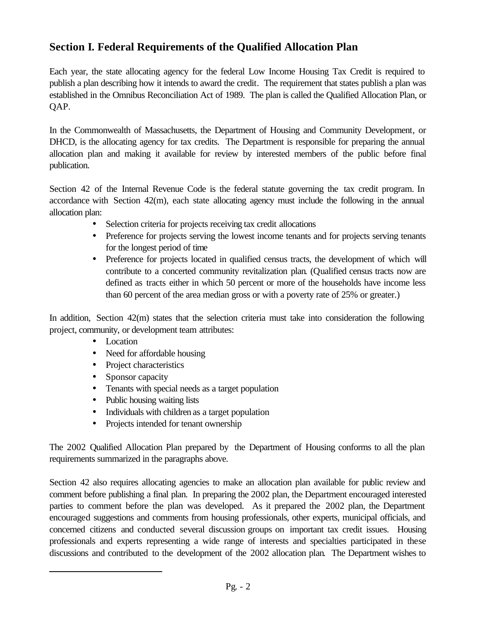# **Section I. Federal Requirements of the Qualified Allocation Plan**

Each year, the state allocating agency for the federal Low Income Housing Tax Credit is required to publish a plan describing how it intends to award the credit. The requirement that states publish a plan was established in the Omnibus Reconciliation Act of 1989. The plan is called the Qualified Allocation Plan, or QAP.

In the Commonwealth of Massachusetts, the Department of Housing and Community Development, or DHCD, is the allocating agency for tax credits. The Department is responsible for preparing the annual allocation plan and making it available for review by interested members of the public before final publication.

Section 42 of the Internal Revenue Code is the federal statute governing the tax credit program. In accordance with Section 42(m), each state allocating agency must include the following in the annual allocation plan:

- Selection criteria for projects receiving tax credit allocations
- Preference for projects serving the lowest income tenants and for projects serving tenants for the longest period of time
- Preference for projects located in qualified census tracts, the development of which will contribute to a concerted community revitalization plan. (Qualified census tracts now are defined as tracts either in which 50 percent or more of the households have income less than 60 percent of the area median gross or with a poverty rate of 25% or greater.)

In addition, Section 42(m) states that the selection criteria must take into consideration the following project, community, or development team attributes:

• Location

l

- Need for affordable housing
- Project characteristics
- Sponsor capacity
- Tenants with special needs as a target population
- Public housing waiting lists
- Individuals with children as a target population
- Projects intended for tenant ownership

The 2002 Qualified Allocation Plan prepared by the Department of Housing conforms to all the plan requirements summarized in the paragraphs above.

Section 42 also requires allocating agencies to make an allocation plan available for public review and comment before publishing a final plan. In preparing the 2002 plan, the Department encouraged interested parties to comment before the plan was developed. As it prepared the 2002 plan, the Department encouraged suggestions and comments from housing professionals, other experts, municipal officials, and concerned citizens and conducted several discussion groups on important tax credit issues. Housing professionals and experts representing a wide range of interests and specialties participated in these discussions and contributed to the development of the 2002 allocation plan. The Department wishes to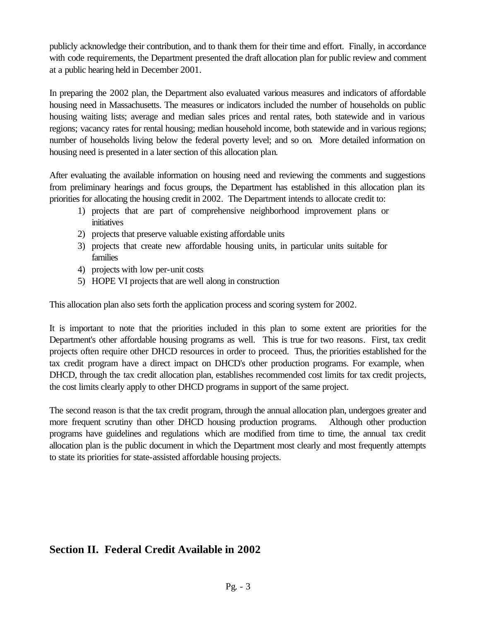publicly acknowledge their contribution, and to thank them for their time and effort. Finally, in accordance with code requirements, the Department presented the draft allocation plan for public review and comment at a public hearing held in December 2001.

In preparing the 2002 plan, the Department also evaluated various measures and indicators of affordable housing need in Massachusetts. The measures or indicators included the number of households on public housing waiting lists; average and median sales prices and rental rates, both statewide and in various regions; vacancy rates for rental housing; median household income, both statewide and in various regions; number of households living below the federal poverty level; and so on. More detailed information on housing need is presented in a later section of this allocation plan.

After evaluating the available information on housing need and reviewing the comments and suggestions from preliminary hearings and focus groups, the Department has established in this allocation plan its priorities for allocating the housing credit in 2002. The Department intends to allocate credit to:

- 1) projects that are part of comprehensive neighborhood improvement plans or initiatives
- 2) projects that preserve valuable existing affordable units
- 3) projects that create new affordable housing units, in particular units suitable for families
- 4) projects with low per-unit costs
- 5) HOPE VI projects that are well along in construction

This allocation plan also sets forth the application process and scoring system for 2002.

It is important to note that the priorities included in this plan to some extent are priorities for the Department's other affordable housing programs as well. This is true for two reasons. First, tax credit projects often require other DHCD resources in order to proceed. Thus, the priorities established for the tax credit program have a direct impact on DHCD's other production programs. For example, when DHCD, through the tax credit allocation plan, establishes recommended cost limits for tax credit projects, the cost limits clearly apply to other DHCD programs in support of the same project.

The second reason is that the tax credit program, through the annual allocation plan, undergoes greater and more frequent scrutiny than other DHCD housing production programs. Although other production programs have guidelines and regulations which are modified from time to time, the annual tax credit allocation plan is the public document in which the Department most clearly and most frequently attempts to state its priorities for state-assisted affordable housing projects.

# **Section II. Federal Credit Available in 2002**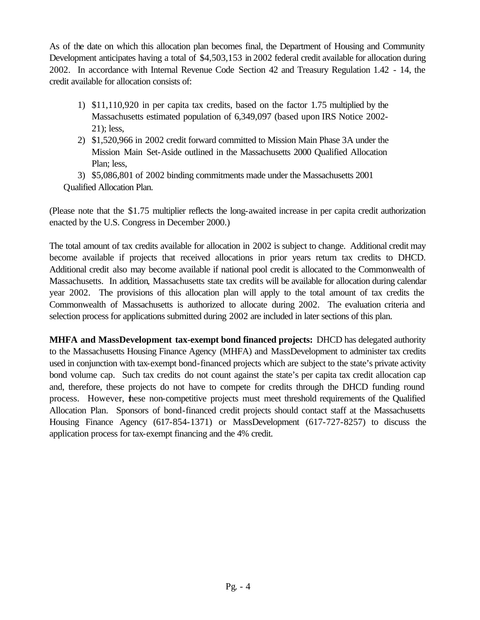As of the date on which this allocation plan becomes final, the Department of Housing and Community Development anticipates having a total of \$4,503,153 in 2002 federal credit available for allocation during 2002. In accordance with Internal Revenue Code Section 42 and Treasury Regulation 1.42 - 14, the credit available for allocation consists of:

- 1) \$11,110,920 in per capita tax credits, based on the factor 1.75 multiplied by the Massachusetts estimated population of 6,349,097 (based upon IRS Notice 2002- 21); less,
- 2) \$1,520,966 in 2002 credit forward committed to Mission Main Phase 3A under the Mission Main Set-Aside outlined in the Massachusetts 2000 Qualified Allocation Plan; less,
- 3) \$5,086,801 of 2002 binding commitments made under the Massachusetts 2001 Qualified Allocation Plan.

(Please note that the \$1.75 multiplier reflects the long-awaited increase in per capita credit authorization enacted by the U.S. Congress in December 2000.)

The total amount of tax credits available for allocation in 2002 is subject to change. Additional credit may become available if projects that received allocations in prior years return tax credits to DHCD. Additional credit also may become available if national pool credit is allocated to the Commonwealth of Massachusetts. In addition, Massachusetts state tax credits will be available for allocation during calendar year 2002. The provisions of this allocation plan will apply to the total amount of tax credits the Commonwealth of Massachusetts is authorized to allocate during 2002. The evaluation criteria and selection process for applications submitted during 2002 are included in later sections of this plan.

**MHFA and MassDevelopment tax-exempt bond financed projects:** DHCD has delegated authority to the Massachusetts Housing Finance Agency (MHFA) and MassDevelopment to administer tax credits used in conjunction with tax-exempt bond-financed projects which are subject to the state's private activity bond volume cap. Such tax credits do not count against the state's per capita tax credit allocation cap and, therefore, these projects do not have to compete for credits through the DHCD funding round process. However, these non-competitive projects must meet threshold requirements of the Qualified Allocation Plan. Sponsors of bond-financed credit projects should contact staff at the Massachusetts Housing Finance Agency (617-854-1371) or MassDevelopment (617-727-8257) to discuss the application process for tax-exempt financing and the 4% credit.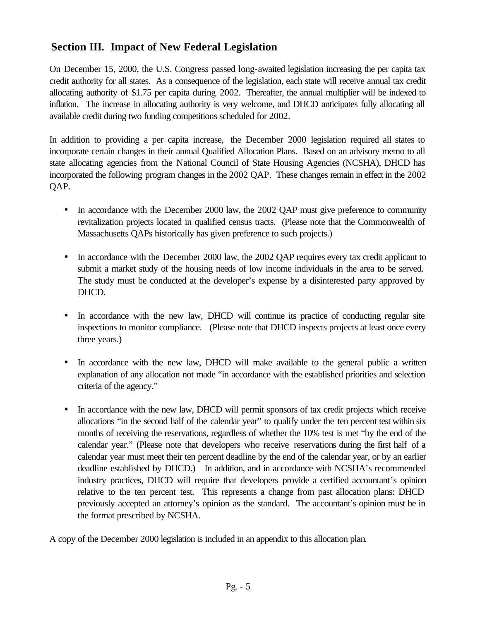# **Section III. Impact of New Federal Legislation**

On December 15, 2000, the U.S. Congress passed long-awaited legislation increasing the per capita tax credit authority for all states. As a consequence of the legislation, each state will receive annual tax credit allocating authority of \$1.75 per capita during 2002. Thereafter, the annual multiplier will be indexed to inflation. The increase in allocating authority is very welcome, and DHCD anticipates fully allocating all available credit during two funding competitions scheduled for 2002.

In addition to providing a per capita increase, the December 2000 legislation required all states to incorporate certain changes in their annual Qualified Allocation Plans. Based on an advisory memo to all state allocating agencies from the National Council of State Housing Agencies (NCSHA), DHCD has incorporated the following program changes in the 2002 QAP. These changes remain in effect in the 2002 QAP.

- In accordance with the December 2000 law, the 2002 QAP must give preference to community revitalization projects located in qualified census tracts. (Please note that the Commonwealth of Massachusetts QAPs historically has given preference to such projects.)
- In accordance with the December 2000 law, the 2002 QAP requires every tax credit applicant to submit a market study of the housing needs of low income individuals in the area to be served. The study must be conducted at the developer's expense by a disinterested party approved by DHCD.
- In accordance with the new law, DHCD will continue its practice of conducting regular site inspections to monitor compliance. (Please note that DHCD inspects projects at least once every three years.)
- In accordance with the new law, DHCD will make available to the general public a written explanation of any allocation not made "in accordance with the established priorities and selection criteria of the agency."
- In accordance with the new law, DHCD will permit sponsors of tax credit projects which receive allocations "in the second half of the calendar year" to qualify under the ten percent test within six months of receiving the reservations, regardless of whether the 10% test is met "by the end of the calendar year." (Please note that developers who receive reservations during the first half of a calendar year must meet their ten percent deadline by the end of the calendar year, or by an earlier deadline established by DHCD.) In addition, and in accordance with NCSHA's recommended industry practices, DHCD will require that developers provide a certified accountant's opinion relative to the ten percent test. This represents a change from past allocation plans: DHCD previously accepted an attorney's opinion as the standard. The accountant's opinion must be in the format prescribed by NCSHA.

A copy of the December 2000 legislation is included in an appendix to this allocation plan.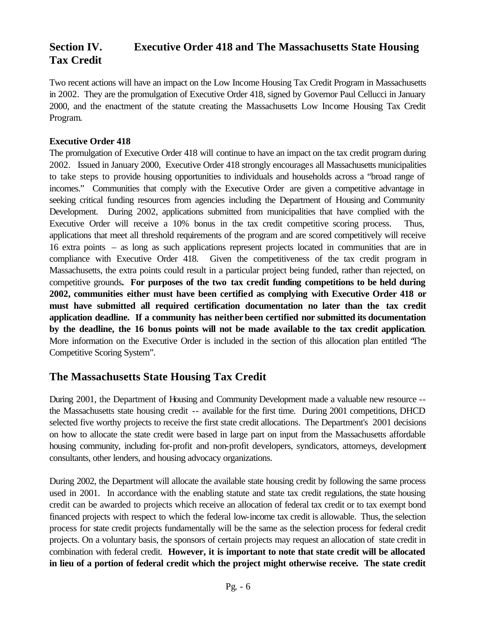# **Section IV. Executive Order 418 and The Massachusetts State Housing Tax Credit**

Two recent actions will have an impact on the Low Income Housing Tax Credit Program in Massachusetts in 2002. They are the promulgation of Executive Order 418, signed by Governor Paul Cellucci in January 2000, and the enactment of the statute creating the Massachusetts Low Income Housing Tax Credit Program.

#### **Executive Order 418**

The promulgation of Executive Order 418 will continue to have an impact on the tax credit program during 2002. Issued in January 2000, Executive Order 418 strongly encourages all Massachusetts municipalities to take steps to provide housing opportunities to individuals and households across a "broad range of incomes." Communities that comply with the Executive Order are given a competitive advantage in seeking critical funding resources from agencies including the Department of Housing and Community Development. During 2002, applications submitted from municipalities that have complied with the Executive Order will receive a 10% bonus in the tax credit competitive scoring process. Thus, applications that meet all threshold requirements of the program and are scored competitively will receive 16 extra points – as long as such applications represent projects located in communities that are in compliance with Executive Order 418. Given the competitiveness of the tax credit program in Massachusetts, the extra points could result in a particular project being funded, rather than rejected, on competitive grounds**. For purposes of the two tax credit funding competitions to be held during 2002, communities either must have been certified as complying with Executive Order 418 or must have submitted all required certification documentation no later than the tax credit application deadline. If a community has neither been certified nor submitted its documentation by the deadline, the 16 bonus points will not be made available to the tax credit application**. More information on the Executive Order is included in the section of this allocation plan entitled "The Competitive Scoring System".

# **The Massachusetts State Housing Tax Credit**

During 2001, the Department of Housing and Community Development made a valuable new resource - the Massachusetts state housing credit -- available for the first time. During 2001 competitions, DHCD selected five worthy projects to receive the first state credit allocations. The Department's 2001 decisions on how to allocate the state credit were based in large part on input from the Massachusetts affordable housing community, including for-profit and non-profit developers, syndicators, attorneys, development consultants, other lenders, and housing advocacy organizations.

During 2002, the Department will allocate the available state housing credit by following the same process used in 2001. In accordance with the enabling statute and state tax credit regulations, the state housing credit can be awarded to projects which receive an allocation of federal tax credit or to tax exempt bond financed projects with respect to which the federal low-income tax credit is allowable. Thus, the selection process for state credit projects fundamentally will be the same as the selection process for federal credit projects. On a voluntary basis, the sponsors of certain projects may request an allocation of state credit in combination with federal credit. **However, it is important to note that state credit will be allocated in lieu of a portion of federal credit which the project might otherwise receive. The state credit**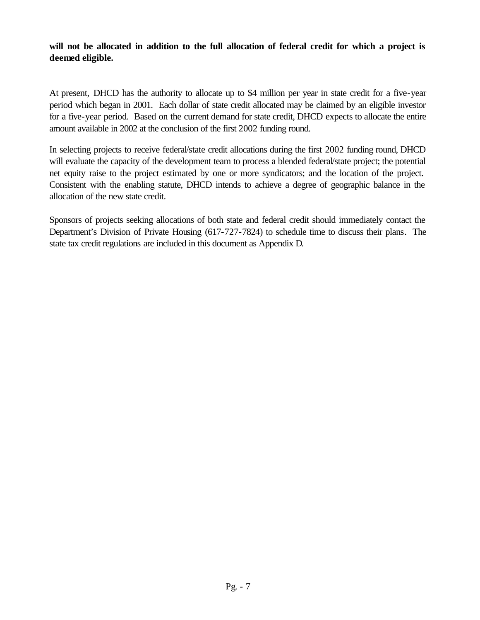**will not be allocated in addition to the full allocation of federal credit for which a project is deemed eligible.** 

At present, DHCD has the authority to allocate up to \$4 million per year in state credit for a five-year period which began in 2001. Each dollar of state credit allocated may be claimed by an eligible investor for a five-year period. Based on the current demand for state credit, DHCD expects to allocate the entire amount available in 2002 at the conclusion of the first 2002 funding round.

In selecting projects to receive federal/state credit allocations during the first 2002 funding round, DHCD will evaluate the capacity of the development team to process a blended federal/state project; the potential net equity raise to the project estimated by one or more syndicators; and the location of the project. Consistent with the enabling statute, DHCD intends to achieve a degree of geographic balance in the allocation of the new state credit.

Sponsors of projects seeking allocations of both state and federal credit should immediately contact the Department's Division of Private Housing (617-727-7824) to schedule time to discuss their plans. The state tax credit regulations are included in this document as Appendix D.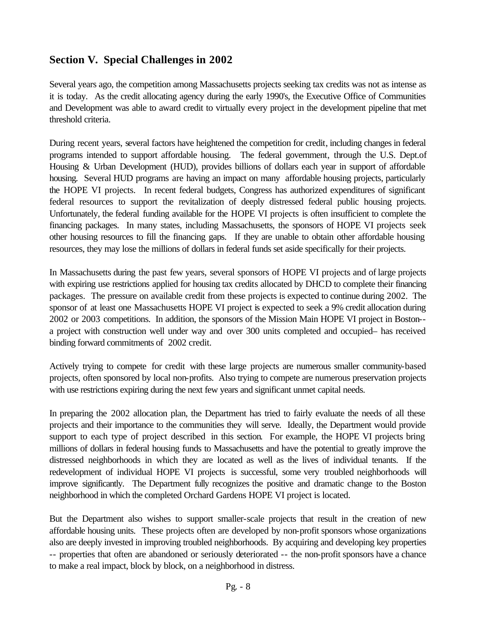# **Section V. Special Challenges in 2002**

Several years ago, the competition among Massachusetts projects seeking tax credits was not as intense as it is today. As the credit allocating agency during the early 1990's, the Executive Office of Communities and Development was able to award credit to virtually every project in the development pipeline that met threshold criteria.

During recent years, several factors have heightened the competition for credit, including changes in federal programs intended to support affordable housing. The federal government, through the U.S. Dept.of Housing & Urban Development (HUD), provides billions of dollars each year in support of affordable housing. Several HUD programs are having an impact on many affordable housing projects, particularly the HOPE VI projects. In recent federal budgets, Congress has authorized expenditures of significant federal resources to support the revitalization of deeply distressed federal public housing projects. Unfortunately, the federal funding available for the HOPE VI projects is often insufficient to complete the financing packages. In many states, including Massachusetts, the sponsors of HOPE VI projects seek other housing resources to fill the financing gaps. If they are unable to obtain other affordable housing resources, they may lose the millions of dollars in federal funds set aside specifically for their projects.

In Massachusetts during the past few years, several sponsors of HOPE VI projects and of large projects with expiring use restrictions applied for housing tax credits allocated by DHCD to complete their financing packages. The pressure on available credit from these projects is expected to continue during 2002. The sponsor of at least one Massachusetts HOPE VI project is expected to seek a 9% credit allocation during 2002 or 2003 competitions. In addition, the sponsors of the Mission Main HOPE VI project in Boston- a project with construction well under way and over 300 units completed and occupied– has received binding forward commitments of 2002 credit.

Actively trying to compete for credit with these large projects are numerous smaller community-based projects, often sponsored by local non-profits. Also trying to compete are numerous preservation projects with use restrictions expiring during the next few years and significant unmet capital needs.

In preparing the 2002 allocation plan, the Department has tried to fairly evaluate the needs of all these projects and their importance to the communities they will serve. Ideally, the Department would provide support to each type of project described in this section. For example, the HOPE VI projects bring millions of dollars in federal housing funds to Massachusetts and have the potential to greatly improve the distressed neighborhoods in which they are located as well as the lives of individual tenants. If the redevelopment of individual HOPE VI projects is successful, some very troubled neighborhoods will improve significantly. The Department fully recognizes the positive and dramatic change to the Boston neighborhood in which the completed Orchard Gardens HOPE VI project is located.

But the Department also wishes to support smaller-scale projects that result in the creation of new affordable housing units. These projects often are developed by non-profit sponsors whose organizations also are deeply invested in improving troubled neighborhoods. By acquiring and developing key properties -- properties that often are abandoned or seriously deteriorated -- the non-profit sponsors have a chance to make a real impact, block by block, on a neighborhood in distress.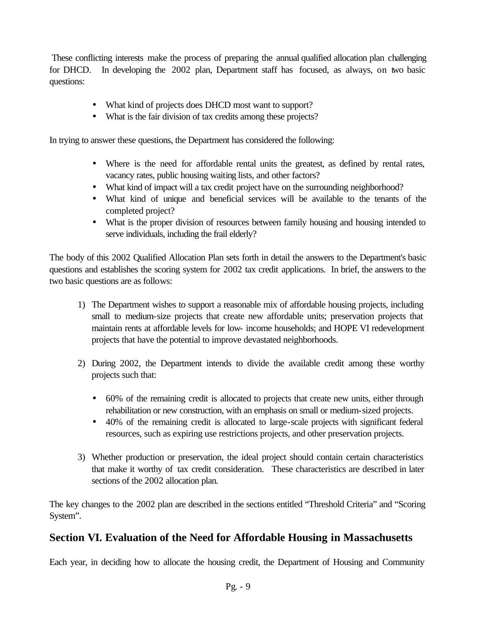These conflicting interests make the process of preparing the annual qualified allocation plan challenging for DHCD. In developing the 2002 plan, Department staff has focused, as always, on two basic questions:

- What kind of projects does DHCD most want to support?
- What is the fair division of tax credits among these projects?

In trying to answer these questions, the Department has considered the following:

- Where is the need for affordable rental units the greatest, as defined by rental rates, vacancy rates, public housing waiting lists, and other factors?
- What kind of impact will a tax credit project have on the surrounding neighborhood?
- What kind of unique and beneficial services will be available to the tenants of the completed project?
- What is the proper division of resources between family housing and housing intended to serve individuals, including the frail elderly?

The body of this 2002 Qualified Allocation Plan sets forth in detail the answers to the Department's basic questions and establishes the scoring system for 2002 tax credit applications. In brief, the answers to the two basic questions are as follows:

- 1) The Department wishes to support a reasonable mix of affordable housing projects, including small to medium-size projects that create new affordable units; preservation projects that maintain rents at affordable levels for low- income households; and HOPE VI redevelopment projects that have the potential to improve devastated neighborhoods.
- 2) During 2002, the Department intends to divide the available credit among these worthy projects such that:
	- 60% of the remaining credit is allocated to projects that create new units, either through rehabilitation or new construction, with an emphasis on small or medium-sized projects.
	- 40% of the remaining credit is allocated to large-scale projects with significant federal resources, such as expiring use restrictions projects, and other preservation projects.
- 3) Whether production or preservation, the ideal project should contain certain characteristics that make it worthy of tax credit consideration. These characteristics are described in later sections of the 2002 allocation plan.

The key changes to the 2002 plan are described in the sections entitled "Threshold Criteria" and "Scoring System".

# **Section VI. Evaluation of the Need for Affordable Housing in Massachusetts**

Each year, in deciding how to allocate the housing credit, the Department of Housing and Community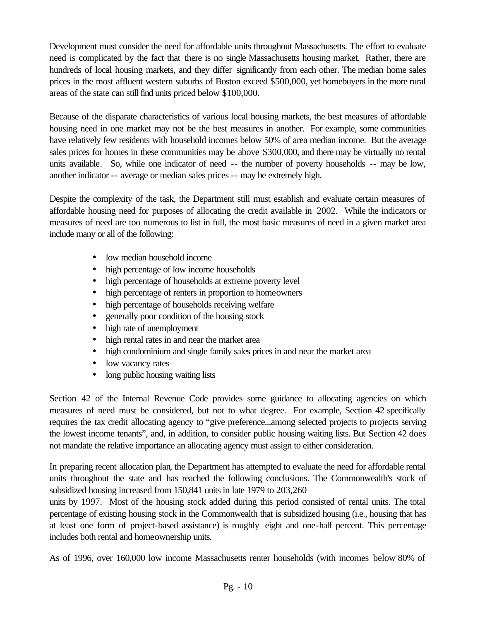Development must consider the need for affordable units throughout Massachusetts. The effort to evaluate need is complicated by the fact that there is no single Massachusetts housing market. Rather, there are hundreds of local housing markets, and they differ significantly from each other. The median home sales prices in the most affluent western suburbs of Boston exceed \$500,000, yet homebuyers in the more rural areas of the state can still find units priced below \$100,000.

Because of the disparate characteristics of various local housing markets, the best measures of affordable housing need in one market may not be the best measures in another. For example, some communities have relatively few residents with household incomes below 50% of area median income. But the average sales prices for homes in these communities may be above \$300,000, and there may be virtually no rental units available. So, while one indicator of need -- the number of poverty households -- may be low, another indicator -- average or median sales prices -- may be extremely high.

Despite the complexity of the task, the Department still must establish and evaluate certain measures of affordable housing need for purposes of allocating the credit available in 2002. While the indicators or measures of need are too numerous to list in full, the most basic measures of need in a given market area include many or all of the following:

- low median household income
- high percentage of low income households
- high percentage of households at extreme poverty level
- high percentage of renters in proportion to homeowners
- high percentage of households receiving welfare
- generally poor condition of the housing stock
- high rate of unemployment
- high rental rates in and near the market area
- high condominium and single family sales prices in and near the market area
- low vacancy rates
- long public housing waiting lists

Section 42 of the Internal Revenue Code provides some guidance to allocating agencies on which measures of need must be considered, but not to what degree. For example, Section 42 specifically requires the tax credit allocating agency to "give preference...among selected projects to projects serving the lowest income tenants", and, in addition, to consider public housing waiting lists. But Section 42 does not mandate the relative importance an allocating agency must assign to either consideration.

In preparing recent allocation plan, the Department has attempted to evaluate the need for affordable rental units throughout the state and has reached the following conclusions. The Commonwealth's stock of subsidized housing increased from 150,841 units in late 1979 to 203,260

units by 1997. Most of the housing stock added during this period consisted of rental units. The total percentage of existing housing stock in the Commonwealth that is subsidized housing (i.e., housing that has at least one form of project-based assistance) is roughly eight and one-half percent. This percentage includes both rental and homeownership units.

As of 1996, over 160,000 low income Massachusetts renter households (with incomes below 80% of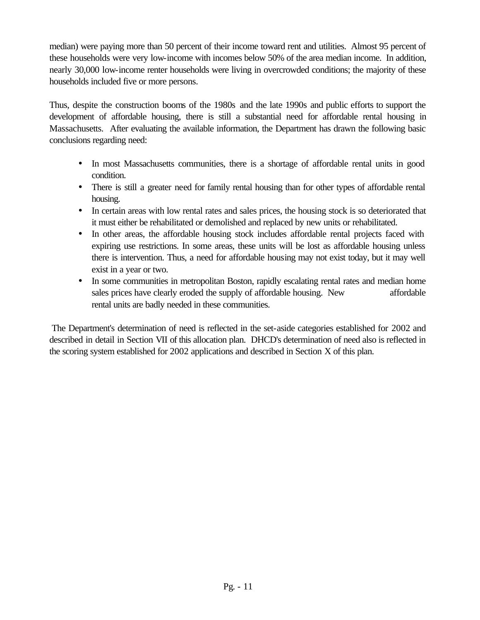median) were paying more than 50 percent of their income toward rent and utilities. Almost 95 percent of these households were very low-income with incomes below 50% of the area median income. In addition, nearly 30,000 low-income renter households were living in overcrowded conditions; the majority of these households included five or more persons.

Thus, despite the construction booms of the 1980s and the late 1990s and public efforts to support the development of affordable housing, there is still a substantial need for affordable rental housing in Massachusetts. After evaluating the available information, the Department has drawn the following basic conclusions regarding need:

- In most Massachusetts communities, there is a shortage of affordable rental units in good condition.
- There is still a greater need for family rental housing than for other types of affordable rental housing.
- In certain areas with low rental rates and sales prices, the housing stock is so deteriorated that it must either be rehabilitated or demolished and replaced by new units or rehabilitated.
- In other areas, the affordable housing stock includes affordable rental projects faced with expiring use restrictions. In some areas, these units will be lost as affordable housing unless there is intervention. Thus, a need for affordable housing may not exist today, but it may well exist in a year or two.
- In some communities in metropolitan Boston, rapidly escalating rental rates and median home sales prices have clearly eroded the supply of affordable housing. New affordable rental units are badly needed in these communities.

The Department's determination of need is reflected in the set-aside categories established for 2002 and described in detail in Section VII of this allocation plan. DHCD's determination of need also is reflected in the scoring system established for 2002 applications and described in Section X of this plan.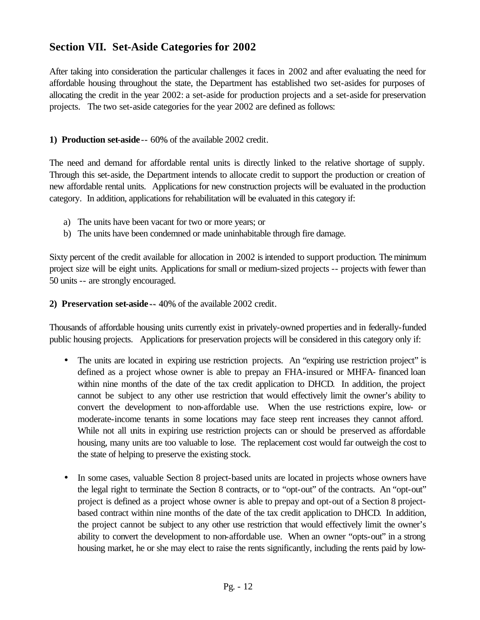# **Section VII. Set-Aside Categories for 2002**

After taking into consideration the particular challenges it faces in 2002 and after evaluating the need for affordable housing throughout the state, the Department has established two set-asides for purposes of allocating the credit in the year 2002: a set-aside for production projects and a set-aside for preservation projects. The two set-aside categories for the year 2002 are defined as follows:

#### **1) Production set-aside**-- 60% of the available 2002 credit.

The need and demand for affordable rental units is directly linked to the relative shortage of supply. Through this set-aside, the Department intends to allocate credit to support the production or creation of new affordable rental units. Applications for new construction projects will be evaluated in the production category. In addition, applications for rehabilitation will be evaluated in this category if:

- a) The units have been vacant for two or more years; or
- b) The units have been condemned or made uninhabitable through fire damage.

Sixty percent of the credit available for allocation in 2002 is intended to support production. The minimum project size will be eight units. Applications for small or medium-sized projects -- projects with fewer than 50 units -- are strongly encouraged.

#### **2) Preservation set-aside** -- 40% of the available 2002 credit.

Thousands of affordable housing units currently exist in privately-owned properties and in federally-funded public housing projects. Applications for preservation projects will be considered in this category only if:

- The units are located in expiring use restriction projects. An "expiring use restriction project" is defined as a project whose owner is able to prepay an FHA-insured or MHFA- financed loan within nine months of the date of the tax credit application to DHCD. In addition, the project cannot be subject to any other use restriction that would effectively limit the owner's ability to convert the development to non-affordable use. When the use restrictions expire, low- or moderate-income tenants in some locations may face steep rent increases they cannot afford. While not all units in expiring use restriction projects can or should be preserved as affordable housing, many units are too valuable to lose. The replacement cost would far outweigh the cost to the state of helping to preserve the existing stock.
- In some cases, valuable Section 8 project-based units are located in projects whose owners have the legal right to terminate the Section 8 contracts, or to "opt-out" of the contracts. An "opt-out" project is defined as a project whose owner is able to prepay and opt-out of a Section 8 projectbased contract within nine months of the date of the tax credit application to DHCD. In addition, the project cannot be subject to any other use restriction that would effectively limit the owner's ability to convert the development to non-affordable use. When an owner "opts-out" in a strong housing market, he or she may elect to raise the rents significantly, including the rents paid by low-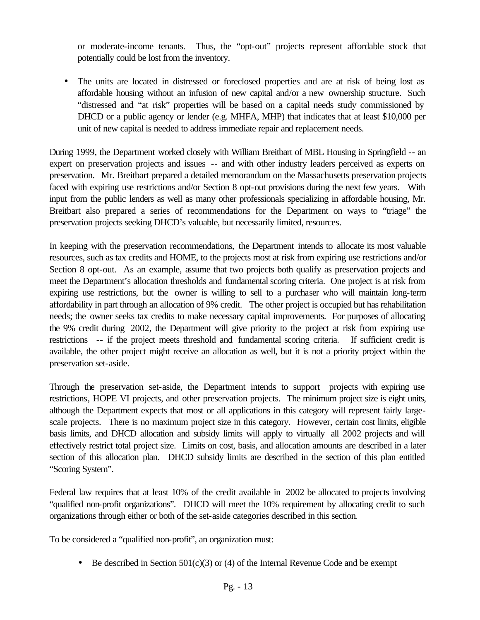or moderate-income tenants. Thus, the "opt-out" projects represent affordable stock that potentially could be lost from the inventory.

The units are located in distressed or foreclosed properties and are at risk of being lost as affordable housing without an infusion of new capital and/or a new ownership structure. Such "distressed and "at risk" properties will be based on a capital needs study commissioned by DHCD or a public agency or lender (e.g. MHFA, MHP) that indicates that at least \$10,000 per unit of new capital is needed to address immediate repair and replacement needs.

During 1999, the Department worked closely with William Breitbart of MBL Housing in Springfield -- an expert on preservation projects and issues -- and with other industry leaders perceived as experts on preservation. Mr. Breitbart prepared a detailed memorandum on the Massachusetts preservation projects faced with expiring use restrictions and/or Section 8 opt-out provisions during the next few years. With input from the public lenders as well as many other professionals specializing in affordable housing, Mr. Breitbart also prepared a series of recommendations for the Department on ways to "triage" the preservation projects seeking DHCD's valuable, but necessarily limited, resources.

In keeping with the preservation recommendations, the Department intends to allocate its most valuable resources, such as tax credits and HOME, to the projects most at risk from expiring use restrictions and/or Section 8 opt-out. As an example, assume that two projects both qualify as preservation projects and meet the Department's allocation thresholds and fundamental scoring criteria. One project is at risk from expiring use restrictions, but the owner is willing to sell to a purchaser who will maintain long-term affordability in part through an allocation of 9% credit. The other project is occupied but has rehabilitation needs; the owner seeks tax credits to make necessary capital improvements. For purposes of allocating the 9% credit during 2002, the Department will give priority to the project at risk from expiring use restrictions -- if the project meets threshold and fundamental scoring criteria. If sufficient credit is available, the other project might receive an allocation as well, but it is not a priority project within the preservation set-aside.

Through the preservation set-aside, the Department intends to support projects with expiring use restrictions, HOPE VI projects, and other preservation projects. The minimum project size is eight units, although the Department expects that most or all applications in this category will represent fairly largescale projects. There is no maximum project size in this category. However, certain cost limits, eligible basis limits, and DHCD allocation and subsidy limits will apply to virtually all 2002 projects and will effectively restrict total project size. Limits on cost, basis, and allocation amounts are described in a later section of this allocation plan. DHCD subsidy limits are described in the section of this plan entitled "Scoring System".

Federal law requires that at least 10% of the credit available in 2002 be allocated to projects involving "qualified non-profit organizations". DHCD will meet the 10% requirement by allocating credit to such organizations through either or both of the set-aside categories described in this section.

To be considered a "qualified non-profit", an organization must:

• Be described in Section  $501(c)(3)$  or (4) of the Internal Revenue Code and be exempt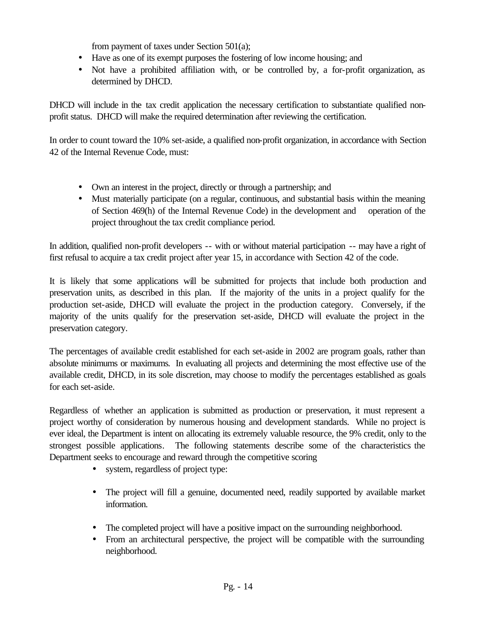from payment of taxes under Section 501(a);

- Have as one of its exempt purposes the fostering of low income housing; and
- Not have a prohibited affiliation with, or be controlled by, a for-profit organization, as determined by DHCD.

DHCD will include in the tax credit application the necessary certification to substantiate qualified nonprofit status. DHCD will make the required determination after reviewing the certification.

In order to count toward the 10% set-aside, a qualified non-profit organization, in accordance with Section 42 of the Internal Revenue Code, must:

- Own an interest in the project, directly or through a partnership; and
- Must materially participate (on a regular, continuous, and substantial basis within the meaning of Section 469(h) of the Internal Revenue Code) in the development and operation of the project throughout the tax credit compliance period.

In addition, qualified non-profit developers -- with or without material participation -- may have a right of first refusal to acquire a tax credit project after year 15, in accordance with Section 42 of the code.

It is likely that some applications will be submitted for projects that include both production and preservation units, as described in this plan. If the majority of the units in a project qualify for the production set-aside, DHCD will evaluate the project in the production category. Conversely, if the majority of the units qualify for the preservation set-aside, DHCD will evaluate the project in the preservation category.

The percentages of available credit established for each set-aside in 2002 are program goals, rather than absolute minimums or maximums. In evaluating all projects and determining the most effective use of the available credit, DHCD, in its sole discretion, may choose to modify the percentages established as goals for each set-aside.

Regardless of whether an application is submitted as production or preservation, it must represent a project worthy of consideration by numerous housing and development standards. While no project is ever ideal, the Department is intent on allocating its extremely valuable resource, the 9% credit, only to the strongest possible applications. The following statements describe some of the characteristics the Department seeks to encourage and reward through the competitive scoring

- system, regardless of project type:
- The project will fill a genuine, documented need, readily supported by available market information.
- The completed project will have a positive impact on the surrounding neighborhood.
- From an architectural perspective, the project will be compatible with the surrounding neighborhood.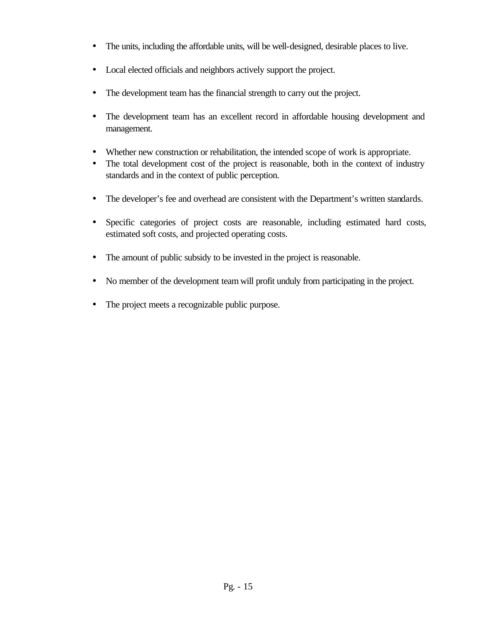- The units, including the affordable units, will be well-designed, desirable places to live.
- Local elected officials and neighbors actively support the project.
- The development team has the financial strength to carry out the project.
- The development team has an excellent record in affordable housing development and management.
- Whether new construction or rehabilitation, the intended scope of work is appropriate.
- The total development cost of the project is reasonable, both in the context of industry standards and in the context of public perception.
- The developer's fee and overhead are consistent with the Department's written standards.
- Specific categories of project costs are reasonable, including estimated hard costs, estimated soft costs, and projected operating costs.
- The amount of public subsidy to be invested in the project is reasonable.
- No member of the development team will profit unduly from participating in the project.
- The project meets a recognizable public purpose.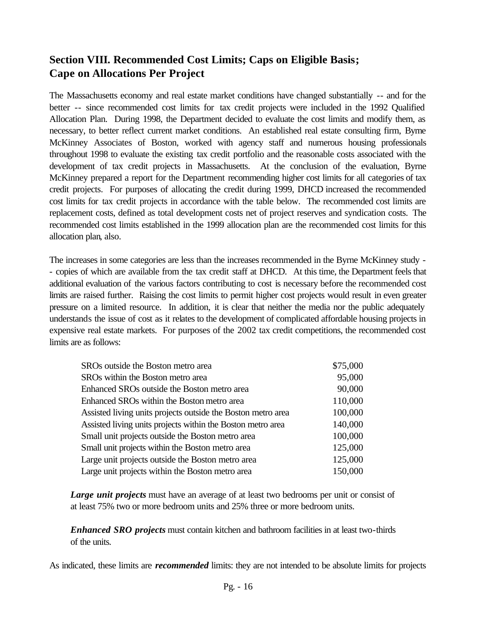# **Section VIII. Recommended Cost Limits; Caps on Eligible Basis; Cape on Allocations Per Project**

The Massachusetts economy and real estate market conditions have changed substantially -- and for the better -- since recommended cost limits for tax credit projects were included in the 1992 Qualified Allocation Plan. During 1998, the Department decided to evaluate the cost limits and modify them, as necessary, to better reflect current market conditions. An established real estate consulting firm, Byrne McKinney Associates of Boston, worked with agency staff and numerous housing professionals throughout 1998 to evaluate the existing tax credit portfolio and the reasonable costs associated with the development of tax credit projects in Massachusetts. At the conclusion of the evaluation, Byrne McKinney prepared a report for the Department recommending higher cost limits for all categories of tax credit projects. For purposes of allocating the credit during 1999, DHCD increased the recommended cost limits for tax credit projects in accordance with the table below. The recommended cost limits are replacement costs, defined as total development costs net of project reserves and syndication costs. The recommended cost limits established in the 1999 allocation plan are the recommended cost limits for this allocation plan, also.

The increases in some categories are less than the increases recommended in the Byrne McKinney study - - copies of which are available from the tax credit staff at DHCD. At this time, the Department feels that additional evaluation of the various factors contributing to cost is necessary before the recommended cost limits are raised further. Raising the cost limits to permit higher cost projects would result in even greater pressure on a limited resource. In addition, it is clear that neither the media nor the public adequately understands the issue of cost as it relates to the development of complicated affordable housing projects in expensive real estate markets. For purposes of the 2002 tax credit competitions, the recommended cost limits are as follows:

| \$75,000 |
|----------|
| 95,000   |
| 90,000   |
| 110,000  |
| 100,000  |
| 140,000  |
| 100,000  |
| 125,000  |
| 125,000  |
| 150,000  |
|          |

*Large unit projects* must have an average of at least two bedrooms per unit or consist of at least 75% two or more bedroom units and 25% three or more bedroom units.

*Enhanced SRO projects* must contain kitchen and bathroom facilities in at least two-thirds of the units.

As indicated, these limits are *recommended* limits: they are not intended to be absolute limits for projects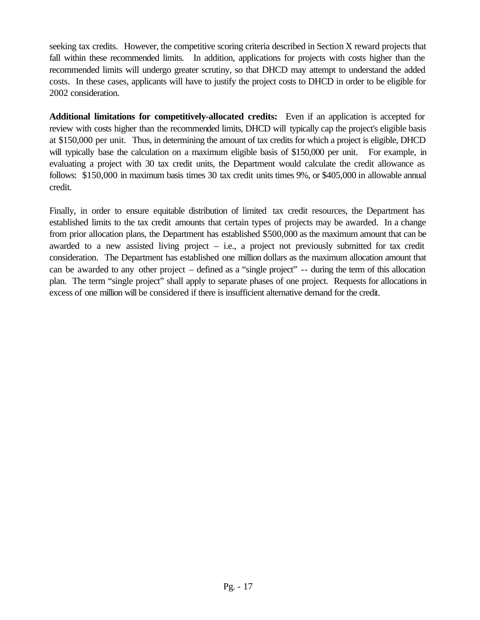seeking tax credits. However, the competitive scoring criteria described in Section X reward projects that fall within these recommended limits. In addition, applications for projects with costs higher than the recommended limits will undergo greater scrutiny, so that DHCD may attempt to understand the added costs. In these cases, applicants will have to justify the project costs to DHCD in order to be eligible for 2002 consideration.

**Additional limitations for competitively-allocated credits:** Even if an application is accepted for review with costs higher than the recommended limits, DHCD will typically cap the project's eligible basis at \$150,000 per unit. Thus, in determining the amount of tax credits for which a project is eligible, DHCD will typically base the calculation on a maximum eligible basis of \$150,000 per unit. For example, in evaluating a project with 30 tax credit units, the Department would calculate the credit allowance as follows: \$150,000 in maximum basis times 30 tax credit units times 9%, or \$405,000 in allowable annual credit.

Finally, in order to ensure equitable distribution of limited tax credit resources, the Department has established limits to the tax credit amounts that certain types of projects may be awarded. In a change from prior allocation plans, the Department has established \$500,000 as the maximum amount that can be awarded to a new assisted living project – i.e., a project not previously submitted for tax credit consideration. The Department has established one million dollars as the maximum allocation amount that can be awarded to any other project – defined as a "single project" -- during the term of this allocation plan. The term "single project" shall apply to separate phases of one project. Requests for allocations in excess of one million will be considered if there is insufficient alternative demand for the credit.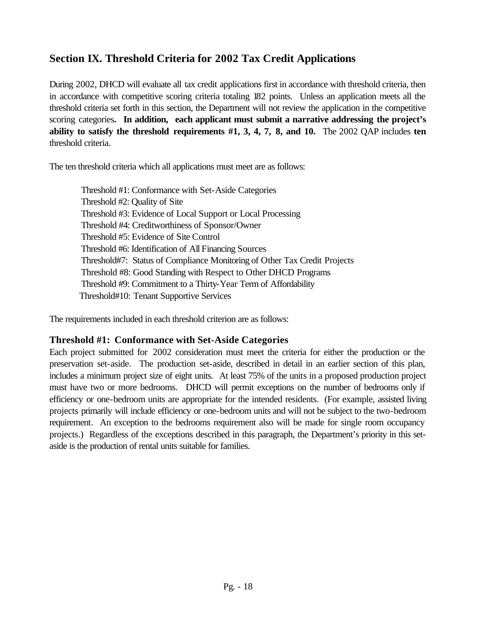# **Section IX. Threshold Criteria for 2002 Tax Credit Applications**

During 2002, DHCD will evaluate all tax credit applications first in accordance with threshold criteria, then in accordance with competitive scoring criteria totaling 182 points. Unless an application meets all the threshold criteria set forth in this section, the Department will not review the application in the competitive scoring categories**. In addition, each applicant must submit a narrative addressing the project's ability to satisfy the threshold requirements #1, 3, 4, 7, 8, and 10.** The 2002 QAP includes **ten**  threshold criteria.

The ten threshold criteria which all applications must meet are as follows:

Threshold #1: Conformance with Set-Aside Categories Threshold #2: Quality of Site Threshold #3: Evidence of Local Support or Local Processing Threshold #4: Creditworthiness of Sponsor/Owner Threshold #5: Evidence of Site Control Threshold #6: Identification of All Financing Sources Threshold#7: Status of Compliance Monitoring of Other Tax Credit Projects Threshold #8: Good Standing with Respect to Other DHCD Programs Threshold #9: Commitment to a Thirty-Year Term of Affordability Threshold#10: Tenant Supportive Services

The requirements included in each threshold criterion are as follows:

#### **Threshold #1: Conformance with Set-Aside Categories**

Each project submitted for 2002 consideration must meet the criteria for either the production or the preservation set-aside. The production set-aside, described in detail in an earlier section of this plan, includes a minimum project size of eight units. At least 75% of the units in a proposed production project must have two or more bedrooms. DHCD will permit exceptions on the number of bedrooms only if efficiency or one-bedroom units are appropriate for the intended residents. (For example, assisted living projects primarily will include efficiency or one-bedroom units and will not be subject to the two-bedroom requirement. An exception to the bedrooms requirement also will be made for single room occupancy projects.) Regardless of the exceptions described in this paragraph, the Department's priority in this setaside is the production of rental units suitable for families.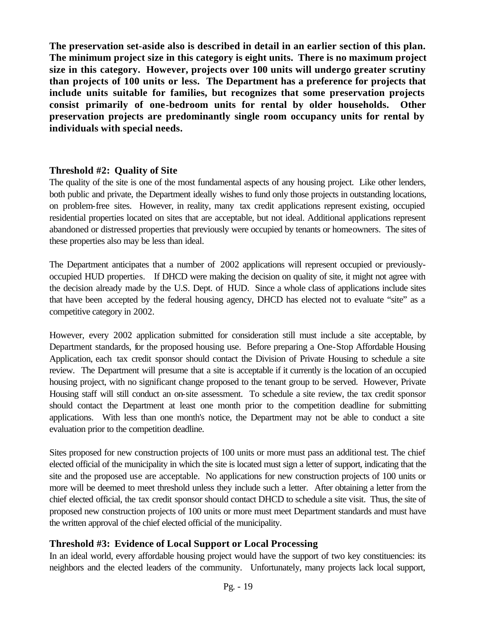**The preservation set-aside also is described in detail in an earlier section of this plan. The minimum project size in this category is eight units. There is no maximum project size in this category. However, projects over 100 units will undergo greater scrutiny than projects of 100 units or less. The Department has a preference for projects that include units suitable for families, but recognizes that some preservation projects consist primarily of one-bedroom units for rental by older households. Other preservation projects are predominantly single room occupancy units for rental by individuals with special needs.**

#### **Threshold #2: Quality of Site**

The quality of the site is one of the most fundamental aspects of any housing project. Like other lenders, both public and private, the Department ideally wishes to fund only those projects in outstanding locations, on problem-free sites. However, in reality, many tax credit applications represent existing, occupied residential properties located on sites that are acceptable, but not ideal. Additional applications represent abandoned or distressed properties that previously were occupied by tenants or homeowners. The sites of these properties also may be less than ideal.

The Department anticipates that a number of 2002 applications will represent occupied or previouslyoccupied HUD properties. If DHCD were making the decision on quality of site, it might not agree with the decision already made by the U.S. Dept. of HUD. Since a whole class of applications include sites that have been accepted by the federal housing agency, DHCD has elected not to evaluate "site" as a competitive category in 2002.

However, every 2002 application submitted for consideration still must include a site acceptable, by Department standards, for the proposed housing use. Before preparing a One-Stop Affordable Housing Application, each tax credit sponsor should contact the Division of Private Housing to schedule a site review. The Department will presume that a site is acceptable if it currently is the location of an occupied housing project, with no significant change proposed to the tenant group to be served. However, Private Housing staff will still conduct an on-site assessment. To schedule a site review, the tax credit sponsor should contact the Department at least one month prior to the competition deadline for submitting applications. With less than one month's notice, the Department may not be able to conduct a site evaluation prior to the competition deadline.

Sites proposed for new construction projects of 100 units or more must pass an additional test. The chief elected official of the municipality in which the site is located must sign a letter of support, indicating that the site and the proposed use are acceptable. No applications for new construction projects of 100 units or more will be deemed to meet threshold unless they include such a letter. After obtaining a letter from the chief elected official, the tax credit sponsor should contact DHCD to schedule a site visit. Thus, the site of proposed new construction projects of 100 units or more must meet Department standards and must have the written approval of the chief elected official of the municipality.

#### **Threshold #3: Evidence of Local Support or Local Processing**

In an ideal world, every affordable housing project would have the support of two key constituencies: its neighbors and the elected leaders of the community. Unfortunately, many projects lack local support,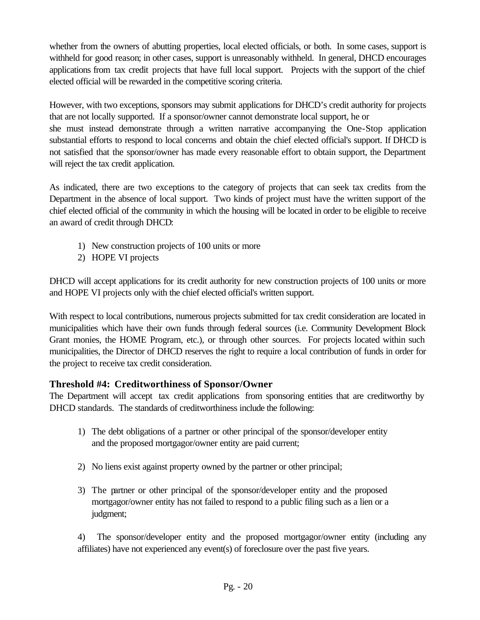whether from the owners of abutting properties, local elected officials, or both. In some cases, support is withheld for good reason; in other cases, support is unreasonably withheld. In general, DHCD encourages applications from tax credit projects that have full local support. Projects with the support of the chief elected official will be rewarded in the competitive scoring criteria.

However, with two exceptions, sponsors may submit applications for DHCD's credit authority for projects that are not locally supported. If a sponsor/owner cannot demonstrate local support, he or she must instead demonstrate through a written narrative accompanying the One-Stop application substantial efforts to respond to local concerns and obtain the chief elected official's support. If DHCD is not satisfied that the sponsor/owner has made every reasonable effort to obtain support, the Department will reject the tax credit application.

As indicated, there are two exceptions to the category of projects that can seek tax credits from the Department in the absence of local support. Two kinds of project must have the written support of the chief elected official of the community in which the housing will be located in order to be eligible to receive an award of credit through DHCD:

- 1) New construction projects of 100 units or more
- 2) HOPE VI projects

DHCD will accept applications for its credit authority for new construction projects of 100 units or more and HOPE VI projects only with the chief elected official's written support.

With respect to local contributions, numerous projects submitted for tax credit consideration are located in municipalities which have their own funds through federal sources (i.e. Community Development Block Grant monies, the HOME Program, etc.), or through other sources. For projects located within such municipalities, the Director of DHCD reserves the right to require a local contribution of funds in order for the project to receive tax credit consideration.

# **Threshold #4: Creditworthiness of Sponsor/Owner**

The Department will accept tax credit applications from sponsoring entities that are creditworthy by DHCD standards. The standards of creditworthiness include the following:

- 1) The debt obligations of a partner or other principal of the sponsor/developer entity and the proposed mortgagor/owner entity are paid current;
- 2) No liens exist against property owned by the partner or other principal;
- 3) The partner or other principal of the sponsor/developer entity and the proposed mortgagor/owner entity has not failed to respond to a public filing such as a lien or a judgment;

4) The sponsor/developer entity and the proposed mortgagor/owner entity (including any affiliates) have not experienced any event(s) of foreclosure over the past five years.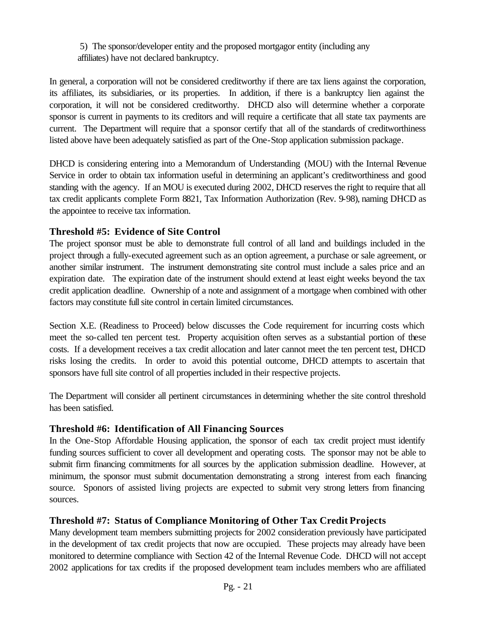5) The sponsor/developer entity and the proposed mortgagor entity (including any affiliates) have not declared bankruptcy.

In general, a corporation will not be considered creditworthy if there are tax liens against the corporation, its affiliates, its subsidiaries, or its properties. In addition, if there is a bankruptcy lien against the corporation, it will not be considered creditworthy. DHCD also will determine whether a corporate sponsor is current in payments to its creditors and will require a certificate that all state tax payments are current. The Department will require that a sponsor certify that all of the standards of creditworthiness listed above have been adequately satisfied as part of the One-Stop application submission package.

DHCD is considering entering into a Memorandum of Understanding (MOU) with the Internal Revenue Service in order to obtain tax information useful in determining an applicant's creditworthiness and good standing with the agency. If an MOU is executed during 2002, DHCD reserves the right to require that all tax credit applicants complete Form 8821, Tax Information Authorization (Rev. 9-98), naming DHCD as the appointee to receive tax information.

#### **Threshold #5: Evidence of Site Control**

The project sponsor must be able to demonstrate full control of all land and buildings included in the project through a fully-executed agreement such as an option agreement, a purchase or sale agreement, or another similar instrument. The instrument demonstrating site control must include a sales price and an expiration date. The expiration date of the instrument should extend at least eight weeks beyond the tax credit application deadline. Ownership of a note and assignment of a mortgage when combined with other factors may constitute full site control in certain limited circumstances.

Section X.E. (Readiness to Proceed) below discusses the Code requirement for incurring costs which meet the so-called ten percent test. Property acquisition often serves as a substantial portion of these costs. If a development receives a tax credit allocation and later cannot meet the ten percent test, DHCD risks losing the credits. In order to avoid this potential outcome, DHCD attempts to ascertain that sponsors have full site control of all properties included in their respective projects.

The Department will consider all pertinent circumstances in determining whether the site control threshold has been satisfied.

#### **Threshold #6: Identification of All Financing Sources**

In the One-Stop Affordable Housing application, the sponsor of each tax credit project must identify funding sources sufficient to cover all development and operating costs. The sponsor may not be able to submit firm financing commitments for all sources by the application submission deadline. However, at minimum, the sponsor must submit documentation demonstrating a strong interest from each financing source. Sponors of assisted living projects are expected to submit very strong letters from financing sources.

# **Threshold #7: Status of Compliance Monitoring of Other Tax Credit Projects**

Many development team members submitting projects for 2002 consideration previously have participated in the development of tax credit projects that now are occupied. These projects may already have been monitored to determine compliance with Section 42 of the Internal Revenue Code. DHCD will not accept 2002 applications for tax credits if the proposed development team includes members who are affiliated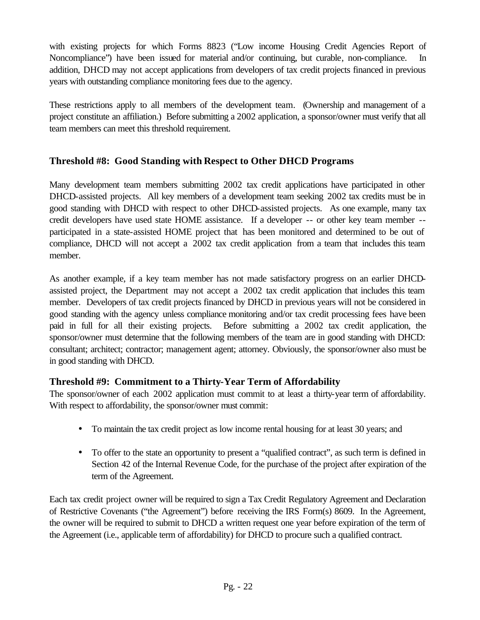with existing projects for which Forms 8823 ("Low income Housing Credit Agencies Report of Noncompliance") have been issued for material and/or continuing, but curable, non-compliance. In addition, DHCD may not accept applications from developers of tax credit projects financed in previous years with outstanding compliance monitoring fees due to the agency.

These restrictions apply to all members of the development team. (Ownership and management of a project constitute an affiliation.) Before submitting a 2002 application, a sponsor/owner must verify that all team members can meet this threshold requirement.

#### **Threshold #8: Good Standing with Respect to Other DHCD Programs**

Many development team members submitting 2002 tax credit applications have participated in other DHCD-assisted projects. All key members of a development team seeking 2002 tax credits must be in good standing with DHCD with respect to other DHCD-assisted projects. As one example, many tax credit developers have used state HOME assistance. If a developer -- or other key team member - participated in a state-assisted HOME project that has been monitored and determined to be out of compliance, DHCD will not accept a 2002 tax credit application from a team that includes this team member.

As another example, if a key team member has not made satisfactory progress on an earlier DHCDassisted project, the Department may not accept a 2002 tax credit application that includes this team member. Developers of tax credit projects financed by DHCD in previous years will not be considered in good standing with the agency unless compliance monitoring and/or tax credit processing fees have been paid in full for all their existing projects. Before submitting a 2002 tax credit application, the sponsor/owner must determine that the following members of the team are in good standing with DHCD: consultant; architect; contractor; management agent; attorney. Obviously, the sponsor/owner also must be in good standing with DHCD.

#### **Threshold #9: Commitment to a Thirty-Year Term of Affordability**

The sponsor/owner of each 2002 application must commit to at least a thirty-year term of affordability. With respect to affordability, the sponsor/owner must commit:

- To maintain the tax credit project as low income rental housing for at least 30 years; and
- To offer to the state an opportunity to present a "qualified contract", as such term is defined in Section 42 of the Internal Revenue Code, for the purchase of the project after expiration of the term of the Agreement.

Each tax credit project owner will be required to sign a Tax Credit Regulatory Agreement and Declaration of Restrictive Covenants ("the Agreement") before receiving the IRS Form(s) 8609. In the Agreement, the owner will be required to submit to DHCD a written request one year before expiration of the term of the Agreement (i.e., applicable term of affordability) for DHCD to procure such a qualified contract.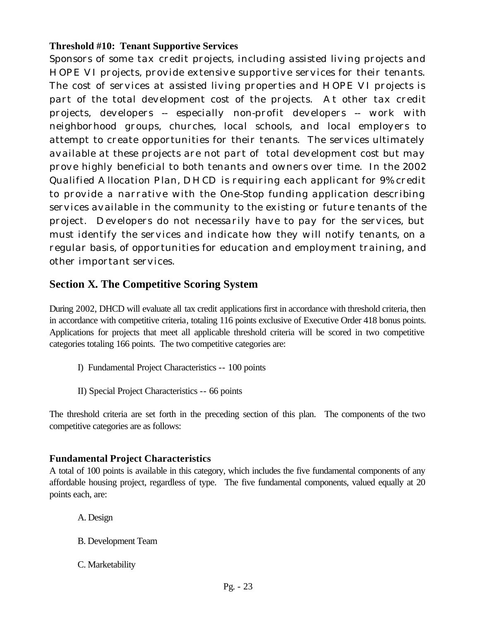#### **Threshold #10: Tenant Supportive Services**

Sponsors of some tax credit projects, including assisted living projects and HOPE VI projects, provide extensive supportive services for their tenants. The cost of services at assisted living properties and HOPE VI projects is part of the total development cost of the projects. At other tax credit projects, developers -- especially non-profit developers -- work with neighborhood groups, churches, local schools, and local employers to attempt to create opportunities for their tenants. The services ultimately available at these projects are not part of total development cost but may prove highly beneficial to both tenants and owners over time. In the 2002 Qualified Allocation Plan, DHCD is requiring each applicant for 9% credit to provide a narrative with the One-Stop funding application describing services available in the community to the existing or future tenants of the project. Developers do not necessarily have to pay for the services, but must identify the services and indicate how they will notify tenants, on a regular basis, of opportunities for education and employment training, and other important services.

# **Section X. The Competitive Scoring System**

During 2002, DHCD will evaluate all tax credit applications first in accordance with threshold criteria, then in accordance with competitive criteria, totaling 116 points exclusive of Executive Order 418 bonus points. Applications for projects that meet all applicable threshold criteria will be scored in two competitive categories totaling 166 points. The two competitive categories are:

- I) Fundamental Project Characteristics -- 100 points
- II) Special Project Characteristics -- 66 points

The threshold criteria are set forth in the preceding section of this plan. The components of the two competitive categories are as follows:

#### **Fundamental Project Characteristics**

A total of 100 points is available in this category, which includes the five fundamental components of any affordable housing project, regardless of type. The five fundamental components, valued equally at 20 points each, are:

A. Design

- B. Development Team
- C. Marketability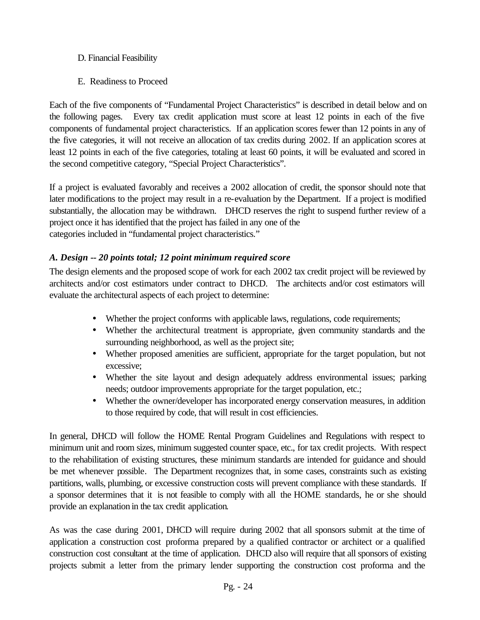- D. Financial Feasibility
- E. Readiness to Proceed

Each of the five components of "Fundamental Project Characteristics" is described in detail below and on the following pages. Every tax credit application must score at least 12 points in each of the five components of fundamental project characteristics. If an application scores fewer than 12 points in any of the five categories, it will not receive an allocation of tax credits during 2002. If an application scores at least 12 points in each of the five categories, totaling at least 60 points, it will be evaluated and scored in the second competitive category, "Special Project Characteristics".

If a project is evaluated favorably and receives a 2002 allocation of credit, the sponsor should note that later modifications to the project may result in a re-evaluation by the Department. If a project is modified substantially, the allocation may be withdrawn. DHCD reserves the right to suspend further review of a project once it has identified that the project has failed in any one of the categories included in "fundamental project characteristics."

#### *A. Design -- 20 points total; 12 point minimum required score*

The design elements and the proposed scope of work for each 2002 tax credit project will be reviewed by architects and/or cost estimators under contract to DHCD. The architects and/or cost estimators will evaluate the architectural aspects of each project to determine:

- Whether the project conforms with applicable laws, regulations, code requirements;
- Whether the architectural treatment is appropriate, given community standards and the surrounding neighborhood, as well as the project site;
- Whether proposed amenities are sufficient, appropriate for the target population, but not excessive;
- Whether the site layout and design adequately address environmental issues; parking needs; outdoor improvements appropriate for the target population, etc.;
- Whether the owner/developer has incorporated energy conservation measures, in addition to those required by code, that will result in cost efficiencies.

In general, DHCD will follow the HOME Rental Program Guidelines and Regulations with respect to minimum unit and room sizes, minimum suggested counter space, etc., for tax credit projects. With respect to the rehabilitation of existing structures, these minimum standards are intended for guidance and should be met whenever possible. The Department recognizes that, in some cases, constraints such as existing partitions, walls, plumbing, or excessive construction costs will prevent compliance with these standards. If a sponsor determines that it is not feasible to comply with all the HOME standards, he or she should provide an explanation in the tax credit application.

As was the case during 2001, DHCD will require during 2002 that all sponsors submit at the time of application a construction cost proforma prepared by a qualified contractor or architect or a qualified construction cost consultant at the time of application. DHCD also will require that all sponsors of existing projects submit a letter from the primary lender supporting the construction cost proforma and the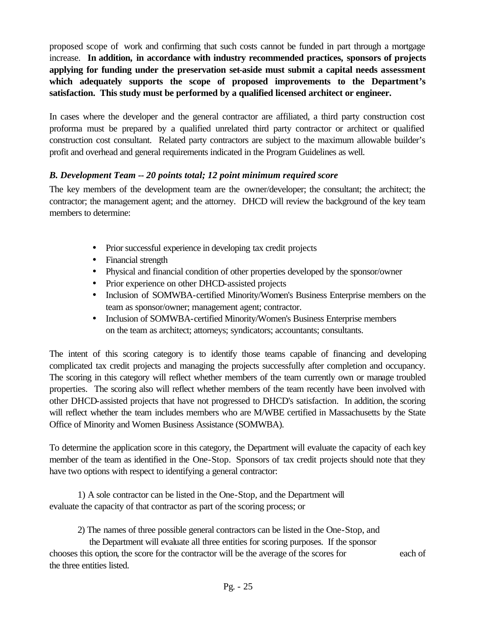proposed scope of work and confirming that such costs cannot be funded in part through a mortgage increase. **In addition, in accordance with industry recommended practices, sponsors of projects applying for funding under the preservation set-aside must submit a capital needs assessment which adequately supports the scope of proposed improvements to the Department's satisfaction. This study must be performed by a qualified licensed architect or engineer.** 

In cases where the developer and the general contractor are affiliated, a third party construction cost proforma must be prepared by a qualified unrelated third party contractor or architect or qualified construction cost consultant. Related party contractors are subject to the maximum allowable builder's profit and overhead and general requirements indicated in the Program Guidelines as well.

#### *B. Development Team -- 20 points total; 12 point minimum required score*

The key members of the development team are the owner/developer; the consultant; the architect; the contractor; the management agent; and the attorney. DHCD will review the background of the key team members to determine:

- Prior successful experience in developing tax credit projects
- Financial strength
- Physical and financial condition of other properties developed by the sponsor/owner
- Prior experience on other DHCD-assisted projects
- Inclusion of SOMWBA-certified Minority/Women's Business Enterprise members on the team as sponsor/owner; management agent; contractor.
- Inclusion of SOMWBA-certified Minority/Women's Business Enterprise members on the team as architect; attorneys; syndicators; accountants; consultants.

The intent of this scoring category is to identify those teams capable of financing and developing complicated tax credit projects and managing the projects successfully after completion and occupancy. The scoring in this category will reflect whether members of the team currently own or manage troubled properties. The scoring also will reflect whether members of the team recently have been involved with other DHCD-assisted projects that have not progressed to DHCD's satisfaction. In addition, the scoring will reflect whether the team includes members who are M/WBE certified in Massachusetts by the State Office of Minority and Women Business Assistance (SOMWBA).

To determine the application score in this category, the Department will evaluate the capacity of each key member of the team as identified in the One-Stop. Sponsors of tax credit projects should note that they have two options with respect to identifying a general contractor:

1) A sole contractor can be listed in the One-Stop, and the Department will evaluate the capacity of that contractor as part of the scoring process; or

2) The names of three possible general contractors can be listed in the One-Stop, and

 the Department will evaluate all three entities for scoring purposes. If the sponsor chooses this option, the score for the contractor will be the average of the scores for each of the three entities listed.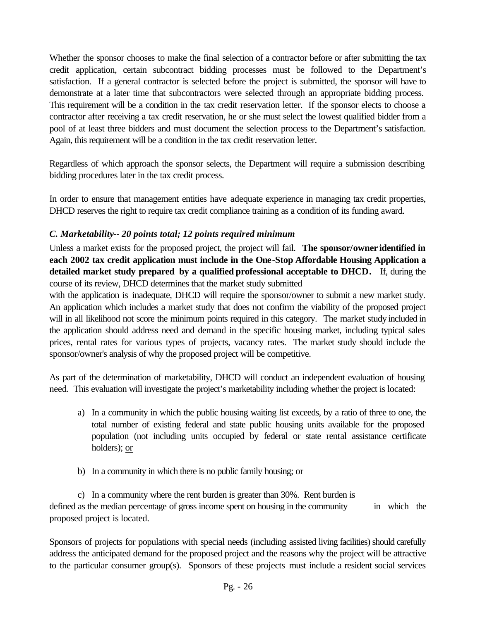Whether the sponsor chooses to make the final selection of a contractor before or after submitting the tax credit application, certain subcontract bidding processes must be followed to the Department's satisfaction. If a general contractor is selected before the project is submitted, the sponsor will have to demonstrate at a later time that subcontractors were selected through an appropriate bidding process. This requirement will be a condition in the tax credit reservation letter. If the sponsor elects to choose a contractor after receiving a tax credit reservation, he or she must select the lowest qualified bidder from a pool of at least three bidders and must document the selection process to the Department's satisfaction. Again, this requirement will be a condition in the tax credit reservation letter.

Regardless of which approach the sponsor selects, the Department will require a submission describing bidding procedures later in the tax credit process.

In order to ensure that management entities have adequate experience in managing tax credit properties, DHCD reserves the right to require tax credit compliance training as a condition of its funding award.

#### *C. Marketability-- 20 points total; 12 points required minimum*

Unless a market exists for the proposed project, the project will fail. **The sponsor/owner identified in each 2002 tax credit application must include in the One-Stop Affordable Housing Application a detailed market study prepared by a qualified professional acceptable to DHCD.** If, during the course of its review, DHCD determines that the market study submitted

with the application is inadequate, DHCD will require the sponsor/owner to submit a new market study. An application which includes a market study that does not confirm the viability of the proposed project will in all likelihood not score the minimum points required in this category. The market study included in the application should address need and demand in the specific housing market, including typical sales prices, rental rates for various types of projects, vacancy rates. The market study should include the sponsor/owner's analysis of why the proposed project will be competitive.

As part of the determination of marketability, DHCD will conduct an independent evaluation of housing need. This evaluation will investigate the project's marketability including whether the project is located:

- a) In a community in which the public housing waiting list exceeds, by a ratio of three to one, the total number of existing federal and state public housing units available for the proposed population (not including units occupied by federal or state rental assistance certificate holders); or
- b) In a community in which there is no public family housing; or

c) In a community where the rent burden is greater than 30%. Rent burden is defined as the median percentage of gross income spent on housing in the community in which the proposed project is located.

Sponsors of projects for populations with special needs (including assisted living facilities) should carefully address the anticipated demand for the proposed project and the reasons why the project will be attractive to the particular consumer group(s). Sponsors of these projects must include a resident social services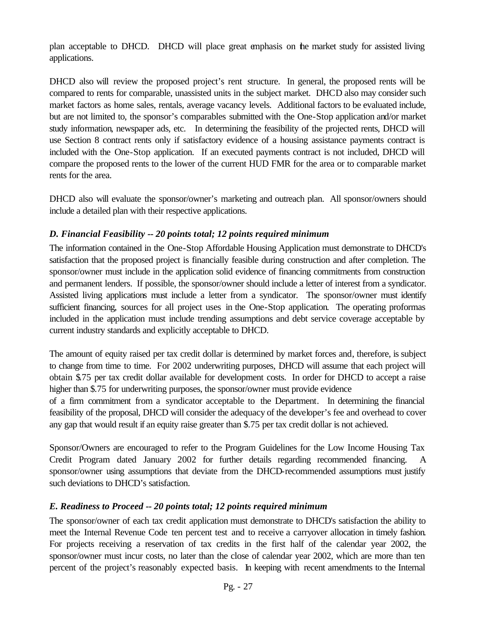plan acceptable to DHCD. DHCD will place great emphasis on the market study for assisted living applications.

DHCD also will review the proposed project's rent structure. In general, the proposed rents will be compared to rents for comparable, unassisted units in the subject market. DHCD also may consider such market factors as home sales, rentals, average vacancy levels. Additional factors to be evaluated include, but are not limited to, the sponsor's comparables submitted with the One-Stop application and/or market study information, newspaper ads, etc. In determining the feasibility of the projected rents, DHCD will use Section 8 contract rents only if satisfactory evidence of a housing assistance payments contract is included with the One-Stop application. If an executed payments contract is not included, DHCD will compare the proposed rents to the lower of the current HUD FMR for the area or to comparable market rents for the area.

DHCD also will evaluate the sponsor/owner's marketing and outreach plan. All sponsor/owners should include a detailed plan with their respective applications.

#### *D. Financial Feasibility -- 20 points total; 12 points required minimum*

The information contained in the One-Stop Affordable Housing Application must demonstrate to DHCD's satisfaction that the proposed project is financially feasible during construction and after completion. The sponsor/owner must include in the application solid evidence of financing commitments from construction and permanent lenders. If possible, the sponsor/owner should include a letter of interest from a syndicator. Assisted living applications must include a letter from a syndicator. The sponsor/owner must identify sufficient financing, sources for all project uses in the One-Stop application. The operating proformas included in the application must include trending assumptions and debt service coverage acceptable by current industry standards and explicitly acceptable to DHCD.

The amount of equity raised per tax credit dollar is determined by market forces and, therefore, is subject to change from time to time. For 2002 underwriting purposes, DHCD will assume that each project will obtain \$.75 per tax credit dollar available for development costs. In order for DHCD to accept a raise higher than \$.75 for underwriting purposes, the sponsor/owner must provide evidence

of a firm commitment from a syndicator acceptable to the Department. In determining the financial feasibility of the proposal, DHCD will consider the adequacy of the developer's fee and overhead to cover any gap that would result if an equity raise greater than \$.75 per tax credit dollar is not achieved.

Sponsor/Owners are encouraged to refer to the Program Guidelines for the Low Income Housing Tax Credit Program dated January 2002 for further details regarding recommended financing. A sponsor/owner using assumptions that deviate from the DHCD-recommended assumptions must justify such deviations to DHCD's satisfaction.

#### *E. Readiness to Proceed -- 20 points total; 12 points required minimum*

The sponsor/owner of each tax credit application must demonstrate to DHCD's satisfaction the ability to meet the Internal Revenue Code ten percent test and to receive a carryover allocation in timely fashion. For projects receiving a reservation of tax credits in the first half of the calendar year 2002, the sponsor/owner must incur costs, no later than the close of calendar year 2002, which are more than ten percent of the project's reasonably expected basis. In keeping with recent amendments to the Internal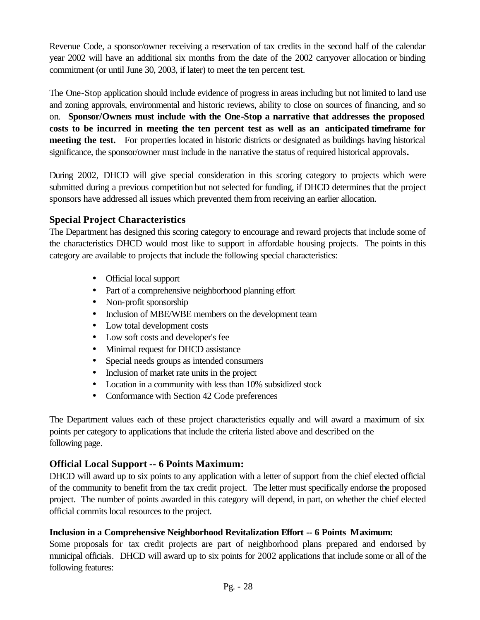Revenue Code, a sponsor/owner receiving a reservation of tax credits in the second half of the calendar year 2002 will have an additional six months from the date of the 2002 carryover allocation or binding commitment (or until June 30, 2003, if later) to meet the ten percent test.

The One-Stop application should include evidence of progress in areas including but not limited to land use and zoning approvals, environmental and historic reviews, ability to close on sources of financing, and so on. **Sponsor/Owners must include with the One-Stop a narrative that addresses the proposed costs to be incurred in meeting the ten percent test as well as an anticipated timeframe for meeting the test.** For properties located in historic districts or designated as buildings having historical significance, the sponsor/owner must include in the narrative the status of required historical approvals**.** 

During 2002, DHCD will give special consideration in this scoring category to projects which were submitted during a previous competition but not selected for funding, if DHCD determines that the project sponsors have addressed all issues which prevented them from receiving an earlier allocation.

### **Special Project Characteristics**

The Department has designed this scoring category to encourage and reward projects that include some of the characteristics DHCD would most like to support in affordable housing projects. The points in this category are available to projects that include the following special characteristics:

- Official local support
- Part of a comprehensive neighborhood planning effort
- Non-profit sponsorship
- Inclusion of MBE/WBE members on the development team
- Low total development costs
- Low soft costs and developer's fee
- Minimal request for DHCD assistance
- Special needs groups as intended consumers
- Inclusion of market rate units in the project
- Location in a community with less than 10% subsidized stock
- Conformance with Section 42 Code preferences

The Department values each of these project characteristics equally and will award a maximum of six points per category to applications that include the criteria listed above and described on the following page.

# **Official Local Support -- 6 Points Maximum:**

DHCD will award up to six points to any application with a letter of support from the chief elected official of the community to benefit from the tax credit project. The letter must specifically endorse the proposed project. The number of points awarded in this category will depend, in part, on whether the chief elected official commits local resources to the project.

#### **Inclusion in a Comprehensive Neighborhood Revitalization Effort -- 6 Points Maximum:**

Some proposals for tax credit projects are part of neighborhood plans prepared and endorsed by municipal officials. DHCD will award up to six points for 2002 applications that include some or all of the following features: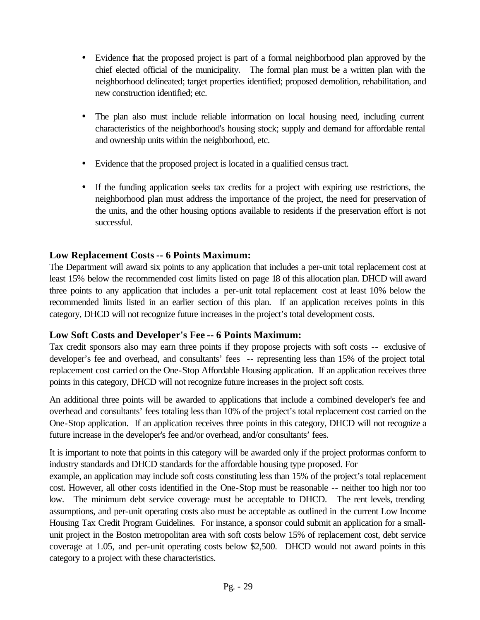- Evidence that the proposed project is part of a formal neighborhood plan approved by the chief elected official of the municipality. The formal plan must be a written plan with the neighborhood delineated; target properties identified; proposed demolition, rehabilitation, and new construction identified; etc.
- The plan also must include reliable information on local housing need, including current characteristics of the neighborhood's housing stock; supply and demand for affordable rental and ownership units within the neighborhood, etc.
- Evidence that the proposed project is located in a qualified census tract.
- If the funding application seeks tax credits for a project with expiring use restrictions, the neighborhood plan must address the importance of the project, the need for preservation of the units, and the other housing options available to residents if the preservation effort is not successful.

#### **Low Replacement Costs -- 6 Points Maximum:**

The Department will award six points to any application that includes a per-unit total replacement cost at least 15% below the recommended cost limits listed on page 18 of this allocation plan. DHCD will award three points to any application that includes a per-unit total replacement cost at least 10% below the recommended limits listed in an earlier section of this plan. If an application receives points in this category, DHCD will not recognize future increases in the project's total development costs.

#### **Low Soft Costs and Developer's Fee -- 6 Points Maximum:**

Tax credit sponsors also may earn three points if they propose projects with soft costs -- exclusive of developer's fee and overhead, and consultants' fees -- representing less than 15% of the project total replacement cost carried on the One-Stop Affordable Housing application. If an application receives three points in this category, DHCD will not recognize future increases in the project soft costs.

An additional three points will be awarded to applications that include a combined developer's fee and overhead and consultants' fees totaling less than 10% of the project's total replacement cost carried on the One-Stop application. If an application receives three points in this category, DHCD will not recognize a future increase in the developer's fee and/or overhead, and/or consultants' fees.

It is important to note that points in this category will be awarded only if the project proformas conform to industry standards and DHCD standards for the affordable housing type proposed. For

example, an application may include soft costs constituting less than 15% of the project's total replacement cost. However, all other costs identified in the One-Stop must be reasonable -- neither too high nor too low. The minimum debt service coverage must be acceptable to DHCD. The rent levels, trending assumptions, and per-unit operating costs also must be acceptable as outlined in the current Low Income Housing Tax Credit Program Guidelines. For instance, a sponsor could submit an application for a smallunit project in the Boston metropolitan area with soft costs below 15% of replacement cost, debt service coverage at 1.05, and per-unit operating costs below \$2,500. DHCD would not award points in this category to a project with these characteristics.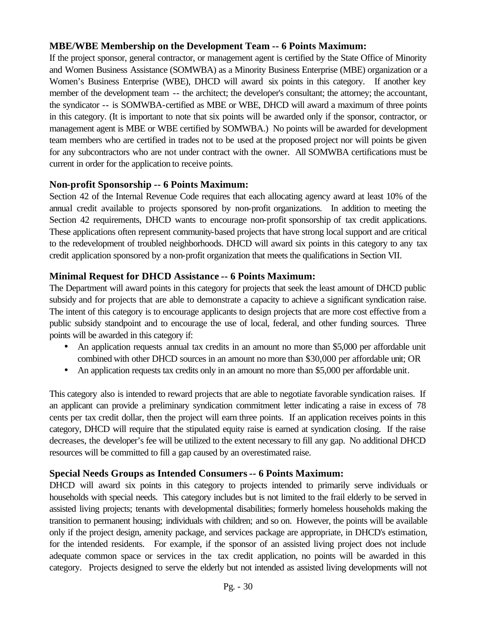#### **MBE/WBE Membership on the Development Team -- 6 Points Maximum:**

If the project sponsor, general contractor, or management agent is certified by the State Office of Minority and Women Business Assistance (SOMWBA) as a Minority Business Enterprise (MBE) organization or a Women's Business Enterprise (WBE), DHCD will award six points in this category. If another key member of the development team -- the architect; the developer's consultant; the attorney; the accountant, the syndicator -- is SOMWBA-certified as MBE or WBE, DHCD will award a maximum of three points in this category. (It is important to note that six points will be awarded only if the sponsor, contractor, or management agent is MBE or WBE certified by SOMWBA.) No points will be awarded for development team members who are certified in trades not to be used at the proposed project nor will points be given for any subcontractors who are not under contract with the owner. All SOMWBA certifications must be current in order for the application to receive points.

#### **Non-profit Sponsorship -- 6 Points Maximum:**

Section 42 of the Internal Revenue Code requires that each allocating agency award at least 10% of the annual credit available to projects sponsored by non-profit organizations. In addition to meeting the Section 42 requirements, DHCD wants to encourage non-profit sponsorship of tax credit applications. These applications often represent community-based projects that have strong local support and are critical to the redevelopment of troubled neighborhoods. DHCD will award six points in this category to any tax credit application sponsored by a non-profit organization that meets the qualifications in Section VII.

#### **Minimal Request for DHCD Assistance -- 6 Points Maximum:**

The Department will award points in this category for projects that seek the least amount of DHCD public subsidy and for projects that are able to demonstrate a capacity to achieve a significant syndication raise. The intent of this category is to encourage applicants to design projects that are more cost effective from a public subsidy standpoint and to encourage the use of local, federal, and other funding sources*.* Three points will be awarded in this category if:

- An application requests annual tax credits in an amount no more than \$5,000 per affordable unit combined with other DHCD sources in an amount no more than \$30,000 per affordable unit; OR
- An application requests tax credits only in an amount no more than \$5,000 per affordable unit.

This category also is intended to reward projects that are able to negotiate favorable syndication raises. If an applicant can provide a preliminary syndication commitment letter indicating a raise in excess of 78 cents per tax credit dollar, then the project will earn three points. If an application receives points in this category, DHCD will require that the stipulated equity raise is earned at syndication closing. If the raise decreases, the developer's fee will be utilized to the extent necessary to fill any gap. No additional DHCD resources will be committed to fill a gap caused by an overestimated raise.

#### **Special Needs Groups as Intended Consumers -- 6 Points Maximum:**

DHCD will award six points in this category to projects intended to primarily serve individuals or households with special needs. This category includes but is not limited to the frail elderly to be served in assisted living projects; tenants with developmental disabilities; formerly homeless households making the transition to permanent housing; individuals with children; and so on. However, the points will be available only if the project design, amenity package, and services package are appropriate, in DHCD's estimation, for the intended residents. For example, if the sponsor of an assisted living project does not include adequate common space or services in the tax credit application, no points will be awarded in this category. Projects designed to serve the elderly but not intended as assisted living developments will not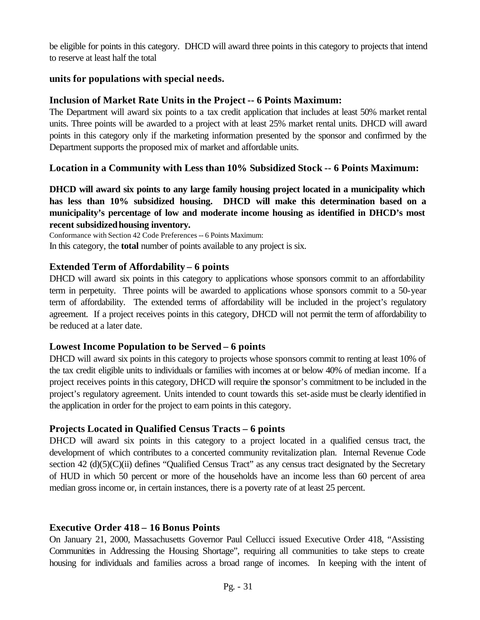be eligible for points in this category. DHCD will award three points in this category to projects that intend to reserve at least half the total

#### **units for populations with special needs.**

#### **Inclusion of Market Rate Units in the Project -- 6 Points Maximum:**

The Department will award six points to a tax credit application that includes at least 50% market rental units. Three points will be awarded to a project with at least 25% market rental units. DHCD will award points in this category only if the marketing information presented by the sponsor and confirmed by the Department supports the proposed mix of market and affordable units.

#### **Location in a Community with Less than 10% Subsidized Stock -- 6 Points Maximum:**

**DHCD will award six points to any large family housing project located in a municipality which has less than 10% subsidized housing. DHCD will make this determination based on a municipality's percentage of low and moderate income housing as identified in DHCD's most recent subsidizedhousing inventory.**

Conformance with Section 42 Code Preferences -- 6 Points Maximum: In this category, the **total** number of points available to any project is six.

#### **Extended Term of Affordability – 6 points**

DHCD will award six points in this category to applications whose sponsors commit to an affordability term in perpetuity. Three points will be awarded to applications whose sponsors commit to a 50-year term of affordability. The extended terms of affordability will be included in the project's regulatory agreement. If a project receives points in this category, DHCD will not permit the term of affordability to be reduced at a later date.

#### **Lowest Income Population to be Served – 6 points**

DHCD will award six points in this category to projects whose sponsors commit to renting at least 10% of the tax credit eligible units to individuals or families with incomes at or below 40% of median income. If a project receives points in this category, DHCD will require the sponsor's commitment to be included in the project's regulatory agreement. Units intended to count towards this set-aside must be clearly identified in the application in order for the project to earn points in this category.

#### **Projects Located in Qualified Census Tracts – 6 points**

DHCD will award six points in this category to a project located in a qualified census tract, the development of which contributes to a concerted community revitalization plan. Internal Revenue Code section 42 (d)(5)(C)(ii) defines "Qualified Census Tract" as any census tract designated by the Secretary of HUD in which 50 percent or more of the households have an income less than 60 percent of area median gross income or, in certain instances, there is a poverty rate of at least 25 percent.

#### **Executive Order 418 – 16 Bonus Points**

On January 21, 2000, Massachusetts Governor Paul Cellucci issued Executive Order 418, "Assisting Communities in Addressing the Housing Shortage", requiring all communities to take steps to create housing for individuals and families across a broad range of incomes. In keeping with the intent of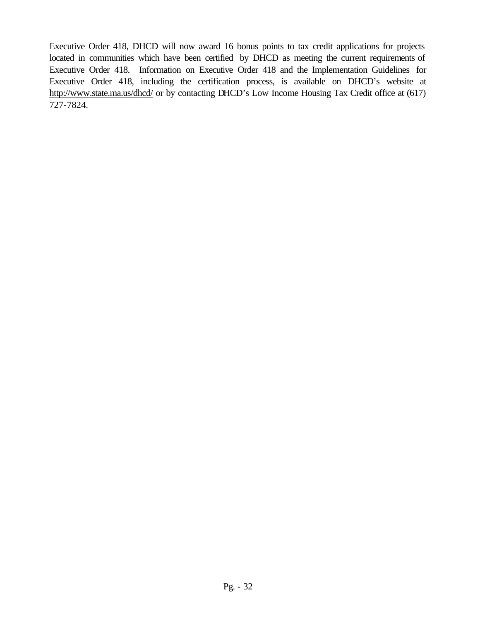Executive Order 418, DHCD will now award 16 bonus points to tax credit applications for projects located in communities which have been certified by DHCD as meeting the current requirements of Executive Order 418. Information on Executive Order 418 and the Implementation Guidelines for Executive Order 418, including the certification process, is available on DHCD's website at http://www.state.ma.us/dhcd/ or by contacting DHCD's Low Income Housing Tax Credit office at (617) 727-7824.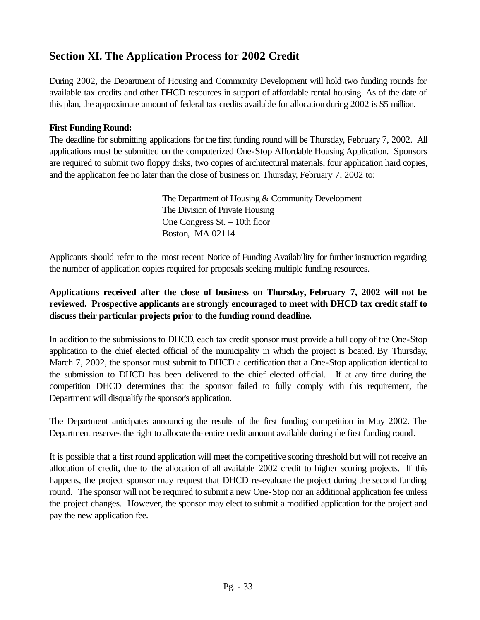# **Section XI. The Application Process for 2002 Credit**

During 2002, the Department of Housing and Community Development will hold two funding rounds for available tax credits and other DHCD resources in support of affordable rental housing. As of the date of this plan, the approximate amount of federal tax credits available for allocation during 2002 is \$5 million.

#### **First Funding Round:**

The deadline for submitting applications for the first funding round will be Thursday, February 7, 2002. All applications must be submitted on the computerized One-Stop Affordable Housing Application. Sponsors are required to submit two floppy disks, two copies of architectural materials, four application hard copies, and the application fee no later than the close of business on Thursday, February 7, 2002 to:

> The Department of Housing & Community Development The Division of Private Housing One Congress St. – 10th floor Boston, MA 02114

Applicants should refer to the most recent Notice of Funding Availability for further instruction regarding the number of application copies required for proposals seeking multiple funding resources.

#### **Applications received after the close of business on Thursday, February 7, 2002 will not be reviewed. Prospective applicants are strongly encouraged to meet with DHCD tax credit staff to discuss their particular projects prior to the funding round deadline.**

In addition to the submissions to DHCD, each tax credit sponsor must provide a full copy of the One-Stop application to the chief elected official of the municipality in which the project is located. By Thursday, March 7, 2002, the sponsor must submit to DHCD a certification that a One-Stop application identical to the submission to DHCD has been delivered to the chief elected official. If at any time during the competition DHCD determines that the sponsor failed to fully comply with this requirement, the Department will disqualify the sponsor's application.

The Department anticipates announcing the results of the first funding competition in May 2002. The Department reserves the right to allocate the entire credit amount available during the first funding round.

It is possible that a first round application will meet the competitive scoring threshold but will not receive an allocation of credit, due to the allocation of all available 2002 credit to higher scoring projects. If this happens, the project sponsor may request that DHCD re-evaluate the project during the second funding round. The sponsor will not be required to submit a new One-Stop nor an additional application fee unless the project changes. However, the sponsor may elect to submit a modified application for the project and pay the new application fee.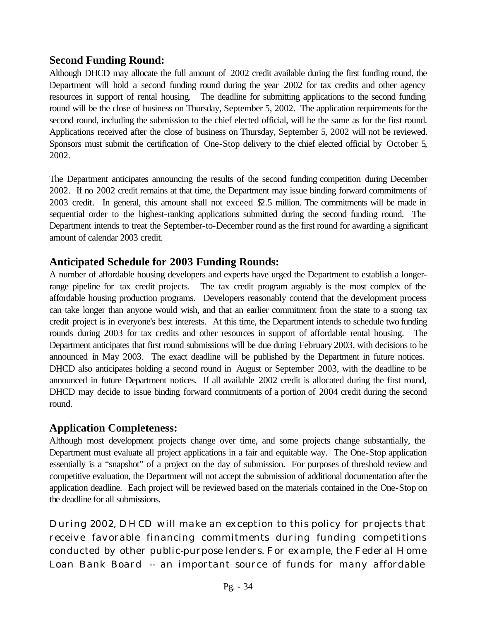# **Second Funding Round:**

Although DHCD may allocate the full amount of 2002 credit available during the first funding round, the Department will hold a second funding round during the year 2002 for tax credits and other agency resources in support of rental housing. The deadline for submitting applications to the second funding round will be the close of business on Thursday, September 5, 2002. The application requirements for the second round, including the submission to the chief elected official, will be the same as for the first round. Applications received after the close of business on Thursday, September 5, 2002 will not be reviewed. Sponsors must submit the certification of One-Stop delivery to the chief elected official by October 5, 2002.

The Department anticipates announcing the results of the second funding competition during December 2002. If no 2002 credit remains at that time, the Department may issue binding forward commitments of 2003 credit. In general, this amount shall not exceed \$2.5 million. The commitments will be made in sequential order to the highest-ranking applications submitted during the second funding round. The Department intends to treat the September-to-December round as the first round for awarding a significant amount of calendar 2003 credit.

# **Anticipated Schedule for 2003 Funding Rounds:**

A number of affordable housing developers and experts have urged the Department to establish a longerrange pipeline for tax credit projects. The tax credit program arguably is the most complex of the affordable housing production programs. Developers reasonably contend that the development process can take longer than anyone would wish, and that an earlier commitment from the state to a strong tax credit project is in everyone's best interests. At this time, the Department intends to schedule two funding rounds during 2003 for tax credits and other resources in support of affordable rental housing. The Department anticipates that first round submissions will be due during February 2003, with decisions to be announced in May 2003. The exact deadline will be published by the Department in future notices. DHCD also anticipates holding a second round in August or September 2003, with the deadline to be announced in future Department notices. If all available 2002 credit is allocated during the first round, DHCD may decide to issue binding forward commitments of a portion of 2004 credit during the second round.

# **Application Completeness:**

Although most development projects change over time, and some projects change substantially, the Department must evaluate all project applications in a fair and equitable way. The One-Stop application essentially is a "snapshot" of a project on the day of submission. For purposes of threshold review and competitive evaluation, the Department will not accept the submission of additional documentation after the application deadline. Each project will be reviewed based on the materials contained in the One-Stop on the deadline for all submissions.

During 2002, DHCD will make an exception to this policy for projects that receive favorable financing commitments during funding competitions conducted by other public-purpose lenders. For example, the Federal Home Loan Bank Board -- an important source of funds for many affordable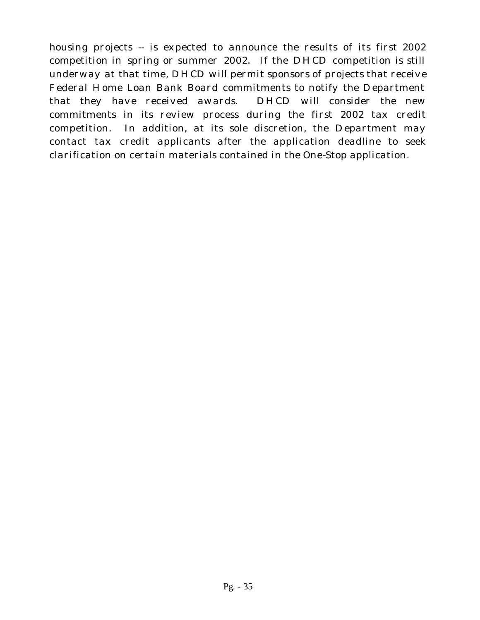housing projects -- is expected to announce the results of its first 2002 competition in spring or summer 2002. If the DHCD competition is still underway at that time, DHCD will permit sponsors of projects that receive Federal Home Loan Bank Board commitments to notify the Department that they have received awards. DHCD will consider the new commitments in its review process during the first 2002 tax credit competition. In addition, at its sole discretion, the Department may contact tax credit applicants after the application deadline to seek clarification on certain materials contained in the One-Stop application.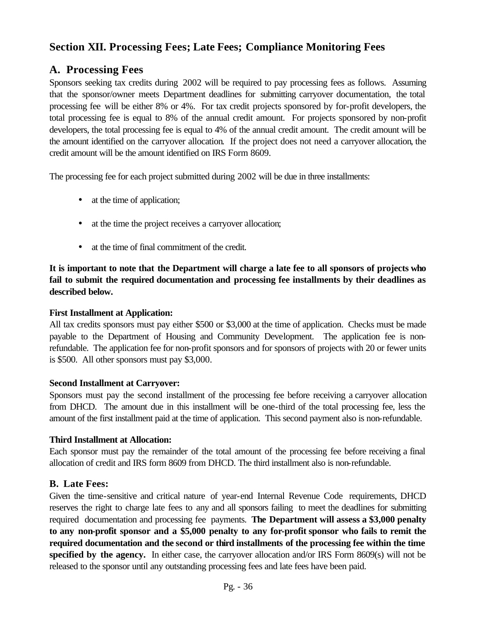# **Section XII. Processing Fees; Late Fees; Compliance Monitoring Fees**

# **A. Processing Fees**

Sponsors seeking tax credits during 2002 will be required to pay processing fees as follows. Assuming that the sponsor/owner meets Department deadlines for submitting carryover documentation, the total processing fee will be either 8% or 4%. For tax credit projects sponsored by for-profit developers, the total processing fee is equal to 8% of the annual credit amount. For projects sponsored by non-profit developers, the total processing fee is equal to 4% of the annual credit amount. The credit amount will be the amount identified on the carryover allocation. If the project does not need a carryover allocation, the credit amount will be the amount identified on IRS Form 8609.

The processing fee for each project submitted during 2002 will be due in three installments:

- at the time of application;
- at the time the project receives a carryover allocation;
- at the time of final commitment of the credit.

**It is important to note that the Department will charge a late fee to all sponsors of projects who fail to submit the required documentation and processing fee installments by their deadlines as described below.**

#### **First Installment at Application:**

All tax credits sponsors must pay either \$500 or \$3,000 at the time of application. Checks must be made payable to the Department of Housing and Community Development. The application fee is nonrefundable. The application fee for non-profit sponsors and for sponsors of projects with 20 or fewer units is \$500. All other sponsors must pay \$3,000.

#### **Second Installment at Carryover:**

Sponsors must pay the second installment of the processing fee before receiving a carryover allocation from DHCD. The amount due in this installment will be one-third of the total processing fee, less the amount of the first installment paid at the time of application. This second payment also is non-refundable.

#### **Third Installment at Allocation:**

Each sponsor must pay the remainder of the total amount of the processing fee before receiving a final allocation of credit and IRS form 8609 from DHCD. The third installment also is non-refundable.

#### **B. Late Fees:**

Given the time-sensitive and critical nature of year-end Internal Revenue Code requirements, DHCD reserves the right to charge late fees to any and all sponsors failing to meet the deadlines for submitting required documentation and processing fee payments. **The Department will assess a \$3,000 penalty to any non-profit sponsor and a \$5,000 penalty to any for-profit sponsor who fails to remit the required documentation and the second or third installments of the processing fee within the time specified by the agency.** In either case, the carryover allocation and/or IRS Form 8609(s) will not be released to the sponsor until any outstanding processing fees and late fees have been paid.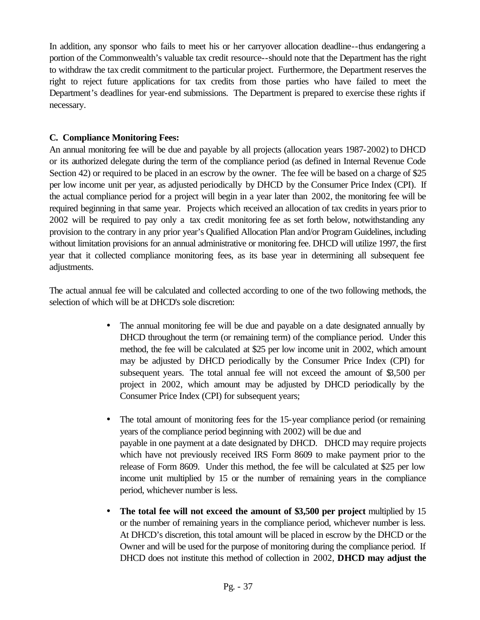In addition, any sponsor who fails to meet his or her carryover allocation deadline--thus endangering a portion of the Commonwealth's valuable tax credit resource--should note that the Department has the right to withdraw the tax credit commitment to the particular project. Furthermore, the Department reserves the right to reject future applications for tax credits from those parties who have failed to meet the Department's deadlines for year-end submissions. The Department is prepared to exercise these rights if necessary.

#### **C. Compliance Monitoring Fees:**

An annual monitoring fee will be due and payable by all projects (allocation years 1987-2002) to DHCD or its authorized delegate during the term of the compliance period (as defined in Internal Revenue Code Section 42) or required to be placed in an escrow by the owner. The fee will be based on a charge of \$25 per low income unit per year, as adjusted periodically by DHCD by the Consumer Price Index (CPI). If the actual compliance period for a project will begin in a year later than 2002, the monitoring fee will be required beginning in that same year. Projects which received an allocation of tax credits in years prior to 2002 will be required to pay only a tax credit monitoring fee as set forth below, notwithstanding any provision to the contrary in any prior year's Qualified Allocation Plan and/or Program Guidelines, including without limitation provisions for an annual administrative or monitoring fee. DHCD will utilize 1997, the first year that it collected compliance monitoring fees, as its base year in determining all subsequent fee adjustments.

The actual annual fee will be calculated and collected according to one of the two following methods, the selection of which will be at DHCD's sole discretion:

- The annual monitoring fee will be due and payable on a date designated annually by DHCD throughout the term (or remaining term) of the compliance period. Under this method, the fee will be calculated at \$25 per low income unit in 2002, which amount may be adjusted by DHCD periodically by the Consumer Price Index (CPI) for subsequent years. The total annual fee will not exceed the amount of  $\,$ \$,500 per project in 2002, which amount may be adjusted by DHCD periodically by the Consumer Price Index (CPI) for subsequent years;
- The total amount of monitoring fees for the 15-year compliance period (or remaining years of the compliance period beginning with 2002) will be due and payable in one payment at a date designated by DHCD. DHCD may require projects which have not previously received IRS Form 8609 to make payment prior to the release of Form 8609. Under this method, the fee will be calculated at \$25 per low income unit multiplied by 15 or the number of remaining years in the compliance period, whichever number is less.
- **The total fee will not exceed the amount of \$3,500 per project** multiplied by 15 or the number of remaining years in the compliance period, whichever number is less. At DHCD's discretion, this total amount will be placed in escrow by the DHCD or the Owner and will be used for the purpose of monitoring during the compliance period. If DHCD does not institute this method of collection in 2002, **DHCD may adjust the**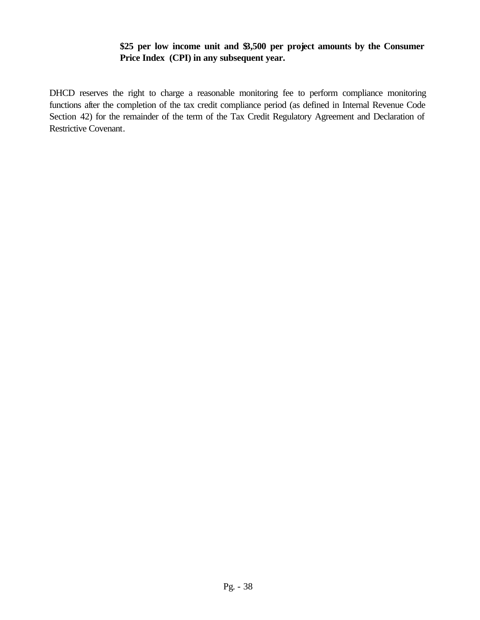#### **\$25 per low income unit and \$3,500 per project amounts by the Consumer Price Index (CPI) in any subsequent year.**

DHCD reserves the right to charge a reasonable monitoring fee to perform compliance monitoring functions after the completion of the tax credit compliance period (as defined in Internal Revenue Code Section 42) for the remainder of the term of the Tax Credit Regulatory Agreement and Declaration of Restrictive Covenant.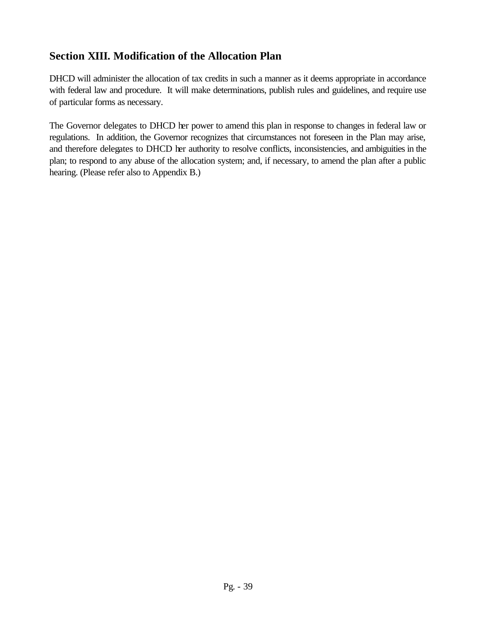# **Section XIII. Modification of the Allocation Plan**

DHCD will administer the allocation of tax credits in such a manner as it deems appropriate in accordance with federal law and procedure. It will make determinations, publish rules and guidelines, and require use of particular forms as necessary.

The Governor delegates to DHCD her power to amend this plan in response to changes in federal law or regulations. In addition, the Governor recognizes that circumstances not foreseen in the Plan may arise, and therefore delegates to DHCD her authority to resolve conflicts, inconsistencies, and ambiguities in the plan; to respond to any abuse of the allocation system; and, if necessary, to amend the plan after a public hearing. (Please refer also to Appendix B.)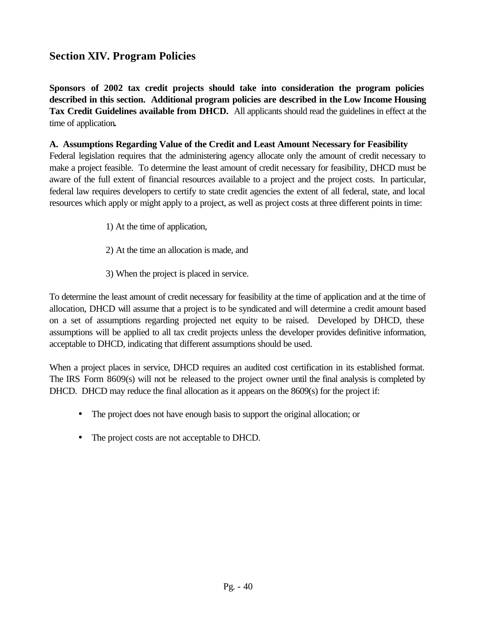# **Section XIV. Program Policies**

**Sponsors of 2002 tax credit projects should take into consideration the program policies described in this section. Additional program policies are described in the Low Income Housing Tax Credit Guidelines available from DHCD.** All applicants should read the guidelines in effect at the time of application**.**

#### **A. Assumptions Regarding Value of the Credit and Least Amount Necessary for Feasibility**

Federal legislation requires that the administering agency allocate only the amount of credit necessary to make a project feasible. To determine the least amount of credit necessary for feasibility, DHCD must be aware of the full extent of financial resources available to a project and the project costs. In particular, federal law requires developers to certify to state credit agencies the extent of all federal, state, and local resources which apply or might apply to a project, as well as project costs at three different points in time:

- 1) At the time of application,
- 2) At the time an allocation is made, and
- 3) When the project is placed in service.

To determine the least amount of credit necessary for feasibility at the time of application and at the time of allocation, DHCD will assume that a project is to be syndicated and will determine a credit amount based on a set of assumptions regarding projected net equity to be raised. Developed by DHCD, these assumptions will be applied to all tax credit projects unless the developer provides definitive information, acceptable to DHCD, indicating that different assumptions should be used.

When a project places in service, DHCD requires an audited cost certification in its established format. The IRS Form 8609(s) will not be released to the project owner until the final analysis is completed by DHCD. DHCD may reduce the final allocation as it appears on the 8609(s) for the project if:

- The project does not have enough basis to support the original allocation; or
- The project costs are not acceptable to DHCD.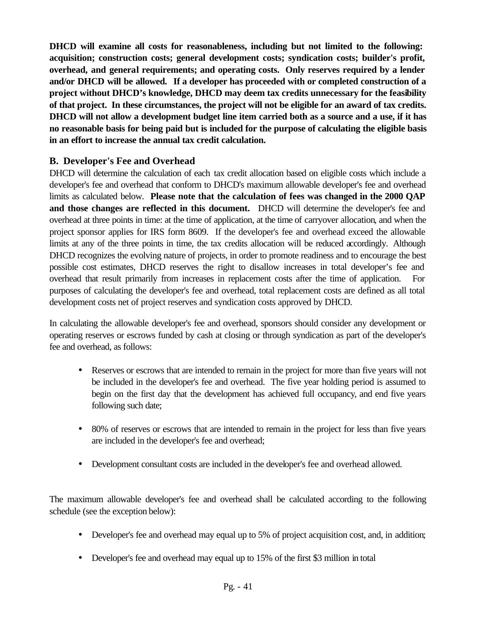**DHCD will examine all costs for reasonableness, including but not limited to the following: acquisition; construction costs; general development costs; syndication costs; builder's profit, overhead, and general requirements; and operating costs. Only reserves required by a lender and/or DHCD will be allowed. If a developer has proceeded with or completed construction of a project without DHCD's knowledge, DHCD may deem tax credits unnecessary for the feasibility of that project. In these circumstances, the project will not be eligible for an award of tax credits. DHCD will not allow a development budget line item carried both as a source and a use, if it has no reasonable basis for being paid but is included for the purpose of calculating the eligible basis in an effort to increase the annual tax credit calculation.**

### **B. Developer's Fee and Overhead**

DHCD will determine the calculation of each tax credit allocation based on eligible costs which include a developer's fee and overhead that conform to DHCD's maximum allowable developer's fee and overhead limits as calculated below. **Please note that the calculation of fees was changed in the 2000 QAP and those changes are reflected in this document.** DHCD will determine the developer's fee and overhead at three points in time: at the time of application, at the time of carryover allocation, and when the project sponsor applies for IRS form 8609. If the developer's fee and overhead exceed the allowable limits at any of the three points in time, the tax credits allocation will be reduced accordingly. Although DHCD recognizes the evolving nature of projects, in order to promote readiness and to encourage the best possible cost estimates, DHCD reserves the right to disallow increases in total developer's fee and overhead that result primarily from increases in replacement costs after the time of application. For purposes of calculating the developer's fee and overhead, total replacement costs are defined as all total development costs net of project reserves and syndication costs approved by DHCD.

In calculating the allowable developer's fee and overhead, sponsors should consider any development or operating reserves or escrows funded by cash at closing or through syndication as part of the developer's fee and overhead, as follows:

- Reserves or escrows that are intended to remain in the project for more than five years will not be included in the developer's fee and overhead. The five year holding period is assumed to begin on the first day that the development has achieved full occupancy, and end five years following such date;
- 80% of reserves or escrows that are intended to remain in the project for less than five years are included in the developer's fee and overhead;
- Development consultant costs are included in the developer's fee and overhead allowed.

The maximum allowable developer's fee and overhead shall be calculated according to the following schedule (see the exception below):

- Developer's fee and overhead may equal up to 5% of project acquisition cost, and, in addition;
- Developer's fee and overhead may equal up to 15% of the first \$3 million in total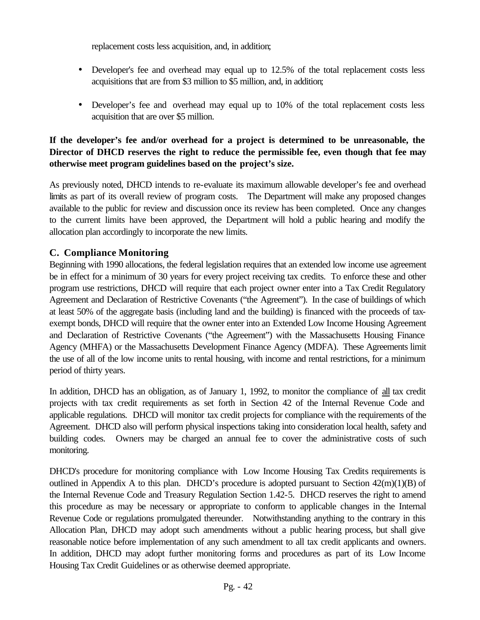replacement costs less acquisition, and, in addition;

- Developer's fee and overhead may equal up to 12.5% of the total replacement costs less acquisitions that are from \$3 million to \$5 million, and, in addition;
- Developer's fee and overhead may equal up to 10% of the total replacement costs less acquisition that are over \$5 million.

#### **If the developer's fee and/or overhead for a project is determined to be unreasonable, the Director of DHCD reserves the right to reduce the permissible fee, even though that fee may otherwise meet program guidelines based on the project's size.**

As previously noted, DHCD intends to re-evaluate its maximum allowable developer's fee and overhead limits as part of its overall review of program costs. The Department will make any proposed changes available to the public for review and discussion once its review has been completed. Once any changes to the current limits have been approved, the Department will hold a public hearing and modify the allocation plan accordingly to incorporate the new limits.

# **C. Compliance Monitoring**

Beginning with 1990 allocations, the federal legislation requires that an extended low income use agreement be in effect for a minimum of 30 years for every project receiving tax credits. To enforce these and other program use restrictions, DHCD will require that each project owner enter into a Tax Credit Regulatory Agreement and Declaration of Restrictive Covenants ("the Agreement"). In the case of buildings of which at least 50% of the aggregate basis (including land and the building) is financed with the proceeds of taxexempt bonds, DHCD will require that the owner enter into an Extended Low Income Housing Agreement and Declaration of Restrictive Covenants ("the Agreement") with the Massachusetts Housing Finance Agency (MHFA) or the Massachusetts Development Finance Agency (MDFA). These Agreements limit the use of all of the low income units to rental housing, with income and rental restrictions, for a minimum period of thirty years.

In addition, DHCD has an obligation, as of January 1, 1992, to monitor the compliance of all tax credit projects with tax credit requirements as set forth in Section 42 of the Internal Revenue Code and applicable regulations. DHCD will monitor tax credit projects for compliance with the requirements of the Agreement. DHCD also will perform physical inspections taking into consideration local health, safety and building codes. Owners may be charged an annual fee to cover the administrative costs of such monitoring.

DHCD's procedure for monitoring compliance with Low Income Housing Tax Credits requirements is outlined in Appendix A to this plan. DHCD's procedure is adopted pursuant to Section 42(m)(1)(B) of the Internal Revenue Code and Treasury Regulation Section 1.42-5. DHCD reserves the right to amend this procedure as may be necessary or appropriate to conform to applicable changes in the Internal Revenue Code or regulations promulgated thereunder. Notwithstanding anything to the contrary in this Allocation Plan, DHCD may adopt such amendments without a public hearing process, but shall give reasonable notice before implementation of any such amendment to all tax credit applicants and owners. In addition, DHCD may adopt further monitoring forms and procedures as part of its Low Income Housing Tax Credit Guidelines or as otherwise deemed appropriate.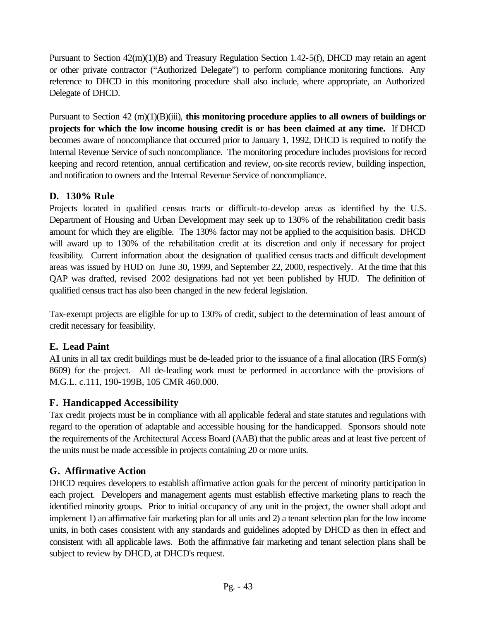Pursuant to Section 42(m)(1)(B) and Treasury Regulation Section 1.42-5(f), DHCD may retain an agent or other private contractor ("Authorized Delegate") to perform compliance monitoring functions. Any reference to DHCD in this monitoring procedure shall also include, where appropriate, an Authorized Delegate of DHCD.

Pursuant to Section 42 (m)(1)(B)(iii), **this monitoring procedure applies to all owners of buildings or projects for which the low income housing credit is or has been claimed at any time.** If DHCD becomes aware of noncompliance that occurred prior to January 1, 1992, DHCD is required to notify the Internal Revenue Service of such noncompliance. The monitoring procedure includes provisions for record keeping and record retention, annual certification and review, on-site records review, building inspection, and notification to owners and the Internal Revenue Service of noncompliance.

#### **D. 130% Rule**

Projects located in qualified census tracts or difficult-to-develop areas as identified by the U.S. Department of Housing and Urban Development may seek up to 130% of the rehabilitation credit basis amount for which they are eligible. The 130% factor may not be applied to the acquisition basis. DHCD will award up to 130% of the rehabilitation credit at its discretion and only if necessary for project feasibility. Current information about the designation of qualified census tracts and difficult development areas was issued by HUD on June 30, 1999, and September 22, 2000, respectively. At the time that this QAP was drafted, revised 2002 designations had not yet been published by HUD. The definition of qualified census tract has also been changed in the new federal legislation.

Tax-exempt projects are eligible for up to 130% of credit, subject to the determination of least amount of credit necessary for feasibility.

# **E. Lead Paint**

All units in all tax credit buildings must be de-leaded prior to the issuance of a final allocation (IRS Form(s) 8609) for the project. All de-leading work must be performed in accordance with the provisions of M.G.L. c.111, 190-199B, 105 CMR 460.000.

# **F. Handicapped Accessibility**

Tax credit projects must be in compliance with all applicable federal and state statutes and regulations with regard to the operation of adaptable and accessible housing for the handicapped. Sponsors should note the requirements of the Architectural Access Board (AAB) that the public areas and at least five percent of the units must be made accessible in projects containing 20 or more units.

# **G. Affirmative Action**

DHCD requires developers to establish affirmative action goals for the percent of minority participation in each project. Developers and management agents must establish effective marketing plans to reach the identified minority groups. Prior to initial occupancy of any unit in the project, the owner shall adopt and implement 1) an affirmative fair marketing plan for all units and 2) a tenant selection plan for the low income units, in both cases consistent with any standards and guidelines adopted by DHCD as then in effect and consistent with all applicable laws. Both the affirmative fair marketing and tenant selection plans shall be subject to review by DHCD, at DHCD's request.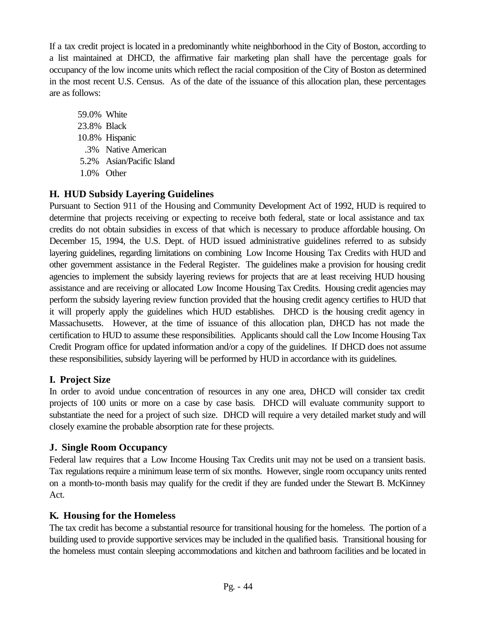If a tax credit project is located in a predominantly white neighborhood in the City of Boston, according to a list maintained at DHCD, the affirmative fair marketing plan shall have the percentage goals for occupancy of the low income units which reflect the racial composition of the City of Boston as determined in the most recent U.S. Census. As of the date of the issuance of this allocation plan, these percentages are as follows:

59.0% White 23.8% Black 10.8% Hispanic .3% Native American 5.2% Asian/Pacific Island 1.0% Other

### **H. HUD Subsidy Layering Guidelines**

Pursuant to Section 911 of the Housing and Community Development Act of 1992, HUD is required to determine that projects receiving or expecting to receive both federal, state or local assistance and tax credits do not obtain subsidies in excess of that which is necessary to produce affordable housing. On December 15, 1994, the U.S. Dept. of HUD issued administrative guidelines referred to as subsidy layering guidelines, regarding limitations on combining Low Income Housing Tax Credits with HUD and other government assistance in the Federal Register. The guidelines make a provision for housing credit agencies to implement the subsidy layering reviews for projects that are at least receiving HUD housing assistance and are receiving or allocated Low Income Housing Tax Credits. Housing credit agencies may perform the subsidy layering review function provided that the housing credit agency certifies to HUD that it will properly apply the guidelines which HUD establishes. DHCD is the housing credit agency in Massachusetts. However, at the time of issuance of this allocation plan, DHCD has not made the certification to HUD to assume these responsibilities. Applicants should call the Low Income Housing Tax Credit Program office for updated information and/or a copy of the guidelines. If DHCD does not assume these responsibilities, subsidy layering will be performed by HUD in accordance with its guidelines.

#### **I. Project Size**

In order to avoid undue concentration of resources in any one area, DHCD will consider tax credit projects of 100 units or more on a case by case basis. DHCD will evaluate community support to substantiate the need for a project of such size. DHCD will require a very detailed market study and will closely examine the probable absorption rate for these projects.

# **J. Single Room Occupancy**

Federal law requires that a Low Income Housing Tax Credits unit may not be used on a transient basis. Tax regulations require a minimum lease term of six months. However, single room occupancy units rented on a month-to-month basis may qualify for the credit if they are funded under the Stewart B. McKinney Act.

# **K. Housing for the Homeless**

The tax credit has become a substantial resource for transitional housing for the homeless. The portion of a building used to provide supportive services may be included in the qualified basis. Transitional housing for the homeless must contain sleeping accommodations and kitchen and bathroom facilities and be located in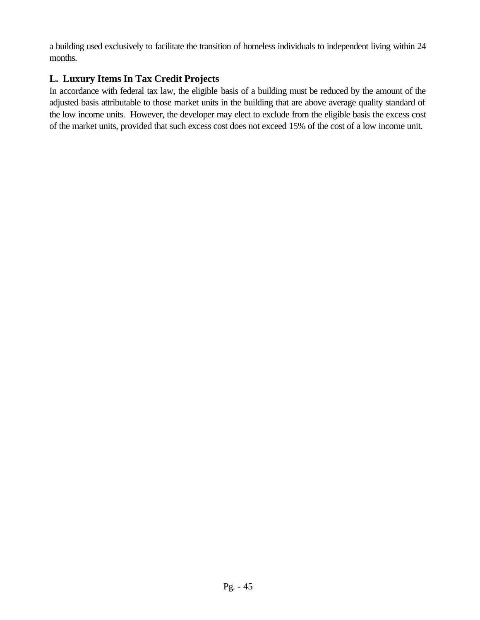a building used exclusively to facilitate the transition of homeless individuals to independent living within 24 months.

# **L. Luxury Items In Tax Credit Projects**

In accordance with federal tax law, the eligible basis of a building must be reduced by the amount of the adjusted basis attributable to those market units in the building that are above average quality standard of the low income units. However, the developer may elect to exclude from the eligible basis the excess cost of the market units, provided that such excess cost does not exceed 15% of the cost of a low income unit.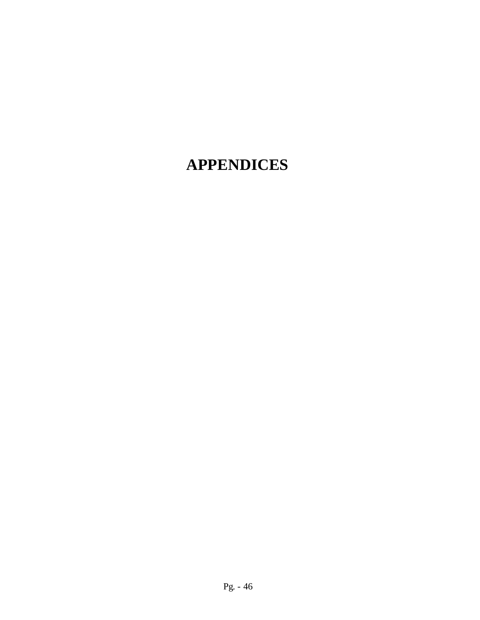# **APPENDICES**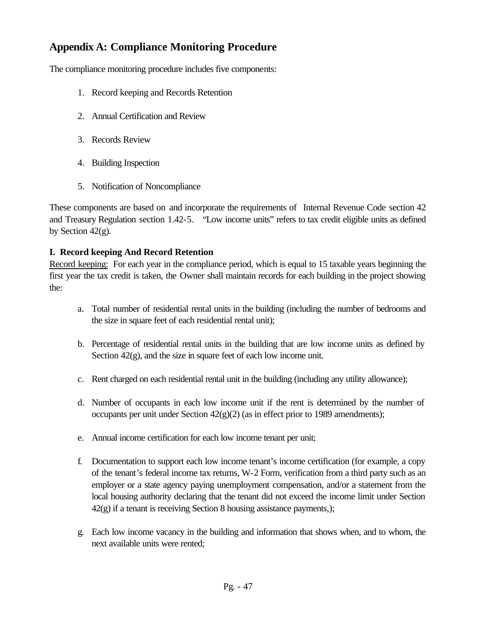# **Appendix A: Compliance Monitoring Procedure**

The compliance monitoring procedure includes five components:

- 1. Record keeping and Records Retention
- 2. Annual Certification and Review
- 3. Records Review
- 4. Building Inspection
- 5. Notification of Noncompliance

These components are based on and incorporate the requirements of Internal Revenue Code section 42 and Treasury Regulation section 1.42-5. "Low income units" refers to tax credit eligible units as defined by Section 42(g).

#### **I. Record keeping And Record Retention**

Record keeping: For each year in the compliance period, which is equal to 15 taxable years beginning the first year the tax credit is taken, the Owner shall maintain records for each building in the project showing the:

- a. Total number of residential rental units in the building (including the number of bedrooms and the size in square feet of each residential rental unit);
- b. Percentage of residential rental units in the building that are low income units as defined by Section  $42(g)$ , and the size in square feet of each low income unit.
- c. Rent charged on each residential rental unit in the building (including any utility allowance);
- d. Number of occupants in each low income unit if the rent is determined by the number of occupants per unit under Section  $42(g)(2)$  (as in effect prior to 1989 amendments);
- e. Annual income certification for each low income tenant per unit;
- f. Documentation to support each low income tenant's income certification (for example, a copy of the tenant's federal income tax returns, W-2 Form, verification from a third party such as an employer or a state agency paying unemployment compensation, and/or a statement from the local housing authority declaring that the tenant did not exceed the income limit under Section  $42(g)$  if a tenant is receiving Section 8 housing assistance payments,);
- g. Each low income vacancy in the building and information that shows when, and to whom, the next available units were rented;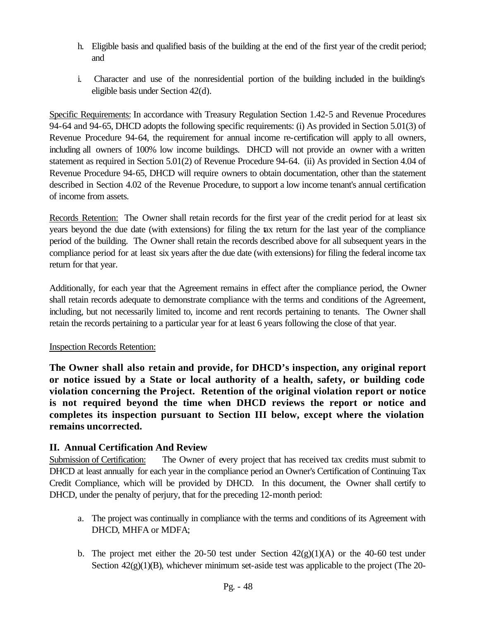- h. Eligible basis and qualified basis of the building at the end of the first year of the credit period; and
- i. Character and use of the nonresidential portion of the building included in the building's eligible basis under Section 42(d).

Specific Requirements: In accordance with Treasury Regulation Section 1.42-5 and Revenue Procedures 94-64 and 94-65, DHCD adopts the following specific requirements: (i) As provided in Section 5.01(3) of Revenue Procedure 94-64, the requirement for annual income re-certification will apply to all owners, including all owners of 100% low income buildings. DHCD will not provide an owner with a written statement as required in Section 5.01(2) of Revenue Procedure 94-64. (ii) As provided in Section 4.04 of Revenue Procedure 94-65, DHCD will require owners to obtain documentation, other than the statement described in Section 4.02 of the Revenue Procedure, to support a low income tenant's annual certification of income from assets.

Records Retention: The Owner shall retain records for the first year of the credit period for at least six years beyond the due date (with extensions) for filing the tax return for the last year of the compliance period of the building. The Owner shall retain the records described above for all subsequent years in the compliance period for at least six years after the due date (with extensions) for filing the federal income tax return for that year.

Additionally, for each year that the Agreement remains in effect after the compliance period, the Owner shall retain records adequate to demonstrate compliance with the terms and conditions of the Agreement, including, but not necessarily limited to, income and rent records pertaining to tenants. The Owner shall retain the records pertaining to a particular year for at least 6 years following the close of that year.

#### Inspection Records Retention:

**The Owner shall also retain and provide, for DHCD's inspection, any original report or notice issued by a State or local authority of a health, safety, or building code violation concerning the Project. Retention of the original violation report or notice is not required beyond the time when DHCD reviews the report or notice and completes its inspection pursuant to Section III below, except where the violation remains uncorrected.**

#### **II. Annual Certification And Review**

Submission of Certification: The Owner of every project that has received tax credits must submit to DHCD at least annually for each year in the compliance period an Owner's Certification of Continuing Tax Credit Compliance, which will be provided by DHCD. In this document, the Owner shall certify to DHCD, under the penalty of perjury, that for the preceding 12-month period:

- a. The project was continually in compliance with the terms and conditions of its Agreement with DHCD, MHFA or MDFA;
- b. The project met either the 20-50 test under Section  $42(g)(1)(A)$  or the 40-60 test under Section  $42(g)(1)(B)$ , whichever minimum set-aside test was applicable to the project (The 20-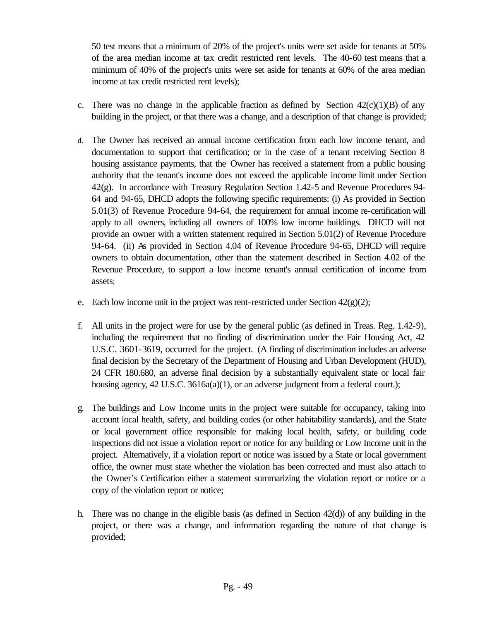50 test means that a minimum of 20% of the project's units were set aside for tenants at 50% of the area median income at tax credit restricted rent levels. The 40-60 test means that a minimum of 40% of the project's units were set aside for tenants at 60% of the area median income at tax credit restricted rent levels);

- c. There was no change in the applicable fraction as defined by Section  $42(c)(1)(B)$  of any building in the project, or that there was a change, and a description of that change is provided;
- d. The Owner has received an annual income certification from each low income tenant, and documentation to support that certification; or in the case of a tenant receiving Section 8 housing assistance payments, that the Owner has received a statement from a public housing authority that the tenant's income does not exceed the applicable income limit under Section 42(g). In accordance with Treasury Regulation Section 1.42-5 and Revenue Procedures 94- 64 and 94-65, DHCD adopts the following specific requirements: (i) As provided in Section 5.01(3) of Revenue Procedure 94-64, the requirement for annual income re-certification will apply to all owners, including all owners of 100% low income buildings. DHCD will not provide an owner with a written statement required in Section 5.01(2) of Revenue Procedure 94-64. (ii) As provided in Section 4.04 of Revenue Procedure 94-65, DHCD will require owners to obtain documentation, other than the statement described in Section 4.02 of the Revenue Procedure, to support a low income tenant's annual certification of income from assets;
- e. Each low income unit in the project was rent-restricted under Section  $42(g)(2)$ ;
- f. All units in the project were for use by the general public (as defined in Treas. Reg. 1.42-9), including the requirement that no finding of discrimination under the Fair Housing Act, 42 U.S.C. 3601-3619, occurred for the project. (A finding of discrimination includes an adverse final decision by the Secretary of the Department of Housing and Urban Development (HUD), 24 CFR 180.680, an adverse final decision by a substantially equivalent state or local fair housing agency, 42 U.S.C. 3616a(a)(1), or an adverse judgment from a federal court.);
- g. The buildings and Low Income units in the project were suitable for occupancy, taking into account local health, safety, and building codes (or other habitability standards), and the State or local government office responsible for making local health, safety, or building code inspections did not issue a violation report or notice for any building or Low Income unit in the project. Alternatively, if a violation report or notice was issued by a State or local government office, the owner must state whether the violation has been corrected and must also attach to the Owner's Certification either a statement summarizing the violation report or notice or a copy of the violation report or notice;
- h. There was no change in the eligible basis (as defined in Section 42(d)) of any building in the project, or there was a change, and information regarding the nature of that change is provided;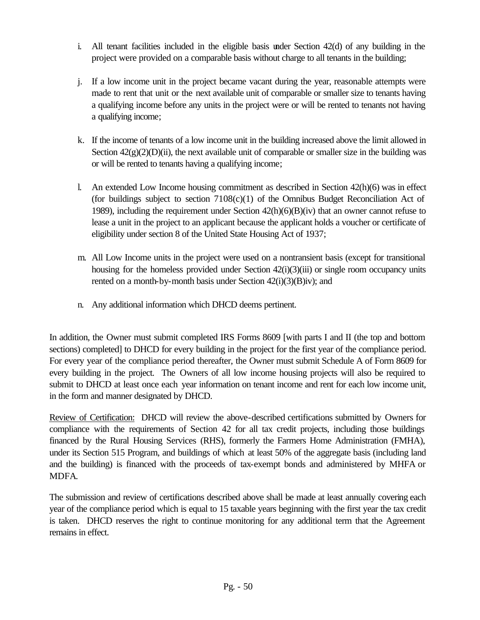- i. All tenant facilities included in the eligible basis under Section 42(d) of any building in the project were provided on a comparable basis without charge to all tenants in the building;
- j. If a low income unit in the project became vacant during the year, reasonable attempts were made to rent that unit or the next available unit of comparable or smaller size to tenants having a qualifying income before any units in the project were or will be rented to tenants not having a qualifying income;
- k. If the income of tenants of a low income unit in the building increased above the limit allowed in Section  $42(g)(2)(D)(ii)$ , the next available unit of comparable or smaller size in the building was or will be rented to tenants having a qualifying income;
- l. An extended Low Income housing commitment as described in Section 42(h)(6) was in effect (for buildings subject to section  $7108(c)(1)$  of the Omnibus Budget Reconciliation Act of 1989), including the requirement under Section 42(h)(6)(B)(iv) that an owner cannot refuse to lease a unit in the project to an applicant because the applicant holds a voucher or certificate of eligibility under section 8 of the United State Housing Act of 1937;
- m. All Low Income units in the project were used on a nontransient basis (except for transitional housing for the homeless provided under Section 42(i)(3)(iii) or single room occupancy units rented on a month-by-month basis under Section  $42(i)(3)(B)iv$ ; and
- n. Any additional information which DHCD deems pertinent.

In addition, the Owner must submit completed IRS Forms 8609 [with parts I and II (the top and bottom sections) completed] to DHCD for every building in the project for the first year of the compliance period. For every year of the compliance period thereafter, the Owner must submit Schedule A of Form 8609 for every building in the project. The Owners of all low income housing projects will also be required to submit to DHCD at least once each year information on tenant income and rent for each low income unit, in the form and manner designated by DHCD.

Review of Certification: DHCD will review the above-described certifications submitted by Owners for compliance with the requirements of Section 42 for all tax credit projects, including those buildings financed by the Rural Housing Services (RHS), formerly the Farmers Home Administration (FMHA), under its Section 515 Program, and buildings of which at least 50% of the aggregate basis (including land and the building) is financed with the proceeds of tax-exempt bonds and administered by MHFA or MDFA.

The submission and review of certifications described above shall be made at least annually covering each year of the compliance period which is equal to 15 taxable years beginning with the first year the tax credit is taken. DHCD reserves the right to continue monitoring for any additional term that the Agreement remains in effect.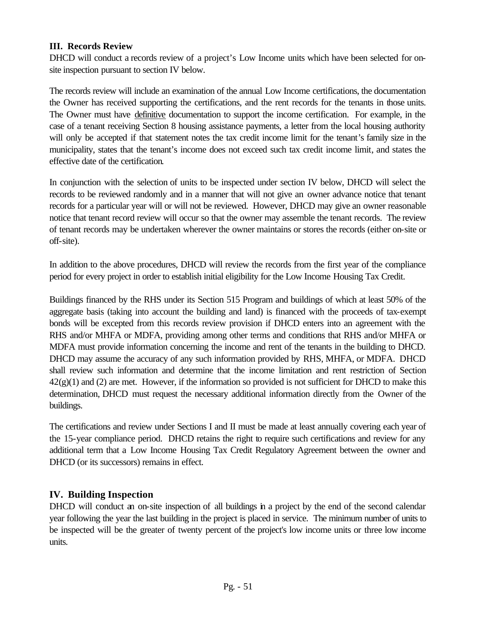#### **III. Records Review**

DHCD will conduct a records review of a project's Low Income units which have been selected for onsite inspection pursuant to section IV below.

The records review will include an examination of the annual Low Income certifications, the documentation the Owner has received supporting the certifications, and the rent records for the tenants in those units. The Owner must have definitive documentation to support the income certification. For example, in the case of a tenant receiving Section 8 housing assistance payments, a letter from the local housing authority will only be accepted if that statement notes the tax credit income limit for the tenant's family size in the municipality, states that the tenant's income does not exceed such tax credit income limit, and states the effective date of the certification.

In conjunction with the selection of units to be inspected under section IV below, DHCD will select the records to be reviewed randomly and in a manner that will not give an owner advance notice that tenant records for a particular year will or will not be reviewed. However, DHCD may give an owner reasonable notice that tenant record review will occur so that the owner may assemble the tenant records. The review of tenant records may be undertaken wherever the owner maintains or stores the records (either on-site or off-site).

In addition to the above procedures, DHCD will review the records from the first year of the compliance period for every project in order to establish initial eligibility for the Low Income Housing Tax Credit.

Buildings financed by the RHS under its Section 515 Program and buildings of which at least 50% of the aggregate basis (taking into account the building and land) is financed with the proceeds of tax-exempt bonds will be excepted from this records review provision if DHCD enters into an agreement with the RHS and/or MHFA or MDFA, providing among other terms and conditions that RHS and/or MHFA or MDFA must provide information concerning the income and rent of the tenants in the building to DHCD. DHCD may assume the accuracy of any such information provided by RHS, MHFA, or MDFA. DHCD shall review such information and determine that the income limitation and rent restriction of Section  $42(g)(1)$  and (2) are met. However, if the information so provided is not sufficient for DHCD to make this determination, DHCD must request the necessary additional information directly from the Owner of the buildings.

The certifications and review under Sections I and II must be made at least annually covering each year of the 15-year compliance period. DHCD retains the right to require such certifications and review for any additional term that a Low Income Housing Tax Credit Regulatory Agreement between the owner and DHCD (or its successors) remains in effect.

#### **IV. Building Inspection**

DHCD will conduct an on-site inspection of all buildings in a project by the end of the second calendar year following the year the last building in the project is placed in service. The minimum number of units to be inspected will be the greater of twenty percent of the project's low income units or three low income units.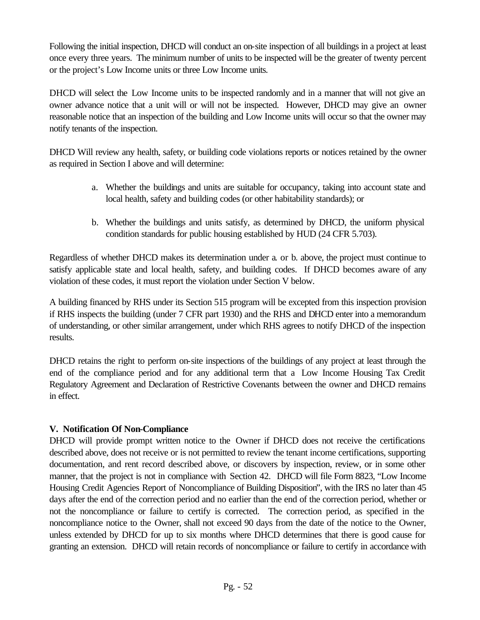Following the initial inspection, DHCD will conduct an on-site inspection of all buildings in a project at least once every three years. The minimum number of units to be inspected will be the greater of twenty percent or the project's Low Income units or three Low Income units.

DHCD will select the Low Income units to be inspected randomly and in a manner that will not give an owner advance notice that a unit will or will not be inspected. However, DHCD may give an owner reasonable notice that an inspection of the building and Low Income units will occur so that the owner may notify tenants of the inspection.

DHCD Will review any health, safety, or building code violations reports or notices retained by the owner as required in Section I above and will determine:

- a. Whether the buildings and units are suitable for occupancy, taking into account state and local health, safety and building codes (or other habitability standards); or
- b. Whether the buildings and units satisfy, as determined by DHCD, the uniform physical condition standards for public housing established by HUD (24 CFR 5.703).

Regardless of whether DHCD makes its determination under a. or b. above, the project must continue to satisfy applicable state and local health, safety, and building codes. If DHCD becomes aware of any violation of these codes, it must report the violation under Section V below.

A building financed by RHS under its Section 515 program will be excepted from this inspection provision if RHS inspects the building (under 7 CFR part 1930) and the RHS and DHCD enter into a memorandum of understanding, or other similar arrangement, under which RHS agrees to notify DHCD of the inspection results.

DHCD retains the right to perform on-site inspections of the buildings of any project at least through the end of the compliance period and for any additional term that a Low Income Housing Tax Credit Regulatory Agreement and Declaration of Restrictive Covenants between the owner and DHCD remains in effect.

#### **V. Notification Of Non-Compliance**

DHCD will provide prompt written notice to the Owner if DHCD does not receive the certifications described above, does not receive or is not permitted to review the tenant income certifications, supporting documentation, and rent record described above, or discovers by inspection, review, or in some other manner, that the project is not in compliance with Section 42. DHCD will file Form 8823, "Low Income Housing Credit Agencies Report of Noncompliance of Building Disposition", with the IRS no later than 45 days after the end of the correction period and no earlier than the end of the correction period, whether or not the noncompliance or failure to certify is corrected. The correction period, as specified in the noncompliance notice to the Owner, shall not exceed 90 days from the date of the notice to the Owner, unless extended by DHCD for up to six months where DHCD determines that there is good cause for granting an extension. DHCD will retain records of noncompliance or failure to certify in accordance with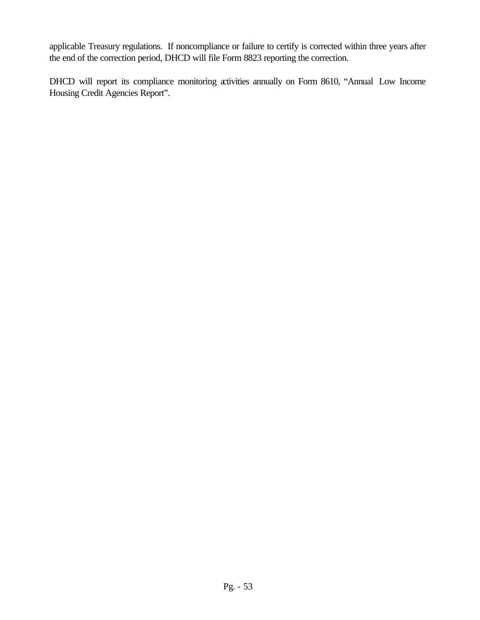applicable Treasury regulations. If noncompliance or failure to certify is corrected within three years after the end of the correction period, DHCD will file Form 8823 reporting the correction.

DHCD will report its compliance monitoring activities annually on Form 8610, "Annual Low Income Housing Credit Agencies Report".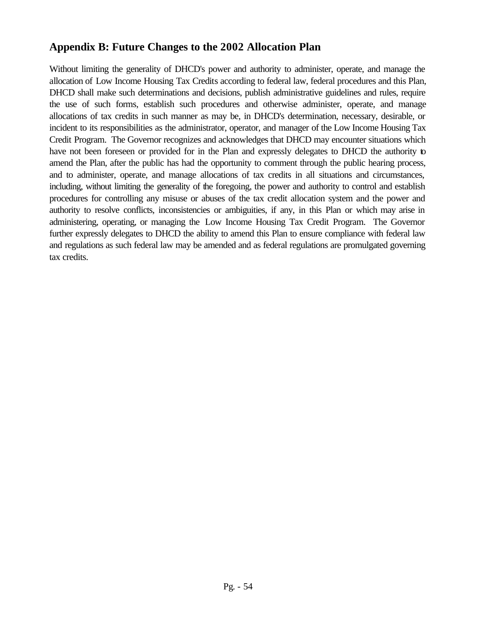# **Appendix B: Future Changes to the 2002 Allocation Plan**

Without limiting the generality of DHCD's power and authority to administer, operate, and manage the allocation of Low Income Housing Tax Credits according to federal law, federal procedures and this Plan, DHCD shall make such determinations and decisions, publish administrative guidelines and rules, require the use of such forms, establish such procedures and otherwise administer, operate, and manage allocations of tax credits in such manner as may be, in DHCD's determination, necessary, desirable, or incident to its responsibilities as the administrator, operator, and manager of the Low Income Housing Tax Credit Program. The Governor recognizes and acknowledges that DHCD may encounter situations which have not been foreseen or provided for in the Plan and expressly delegates to DHCD the authority to amend the Plan, after the public has had the opportunity to comment through the public hearing process, and to administer, operate, and manage allocations of tax credits in all situations and circumstances, including, without limiting the generality of the foregoing, the power and authority to control and establish procedures for controlling any misuse or abuses of the tax credit allocation system and the power and authority to resolve conflicts, inconsistencies or ambiguities, if any, in this Plan or which may arise in administering, operating, or managing the Low Income Housing Tax Credit Program. The Governor further expressly delegates to DHCD the ability to amend this Plan to ensure compliance with federal law and regulations as such federal law may be amended and as federal regulations are promulgated governing tax credits.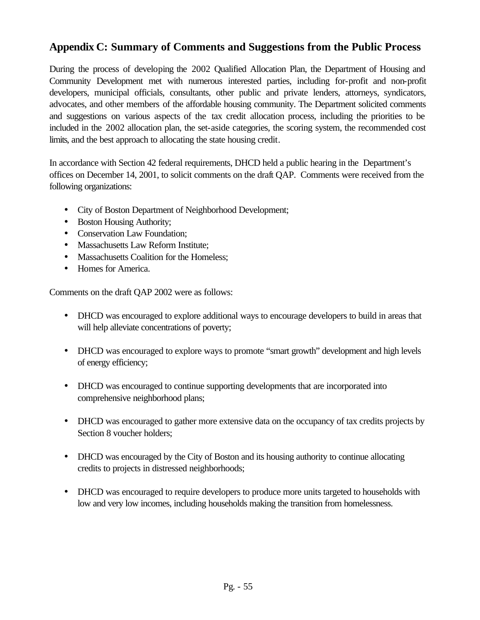# **Appendix C: Summary of Comments and Suggestions from the Public Process**

During the process of developing the 2002 Qualified Allocation Plan, the Department of Housing and Community Development met with numerous interested parties, including for-profit and non-profit developers, municipal officials, consultants, other public and private lenders, attorneys, syndicators, advocates, and other members of the affordable housing community. The Department solicited comments and suggestions on various aspects of the tax credit allocation process, including the priorities to be included in the 2002 allocation plan, the set-aside categories, the scoring system, the recommended cost limits, and the best approach to allocating the state housing credit.

In accordance with Section 42 federal requirements, DHCD held a public hearing in the Department's offices on December 14, 2001, to solicit comments on the draft QAP. Comments were received from the following organizations:

- City of Boston Department of Neighborhood Development;
- Boston Housing Authority;
- Conservation Law Foundation:
- Massachusetts Law Reform Institute;
- Massachusetts Coalition for the Homeless;
- Homes for America.

Comments on the draft QAP 2002 were as follows:

- DHCD was encouraged to explore additional ways to encourage developers to build in areas that will help alleviate concentrations of poverty;
- DHCD was encouraged to explore ways to promote "smart growth" development and high levels of energy efficiency;
- DHCD was encouraged to continue supporting developments that are incorporated into comprehensive neighborhood plans;
- DHCD was encouraged to gather more extensive data on the occupancy of tax credits projects by Section 8 voucher holders;
- DHCD was encouraged by the City of Boston and its housing authority to continue allocating credits to projects in distressed neighborhoods;
- DHCD was encouraged to require developers to produce more units targeted to households with low and very low incomes, including households making the transition from homelessness.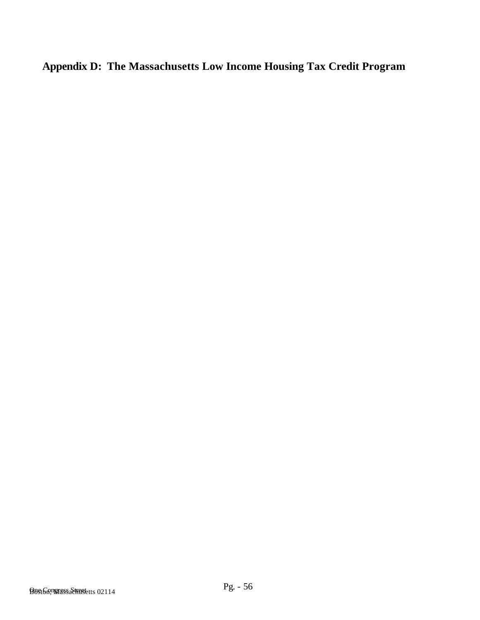**Appendix D: The Massachusetts Low Income Housing Tax Credit Program**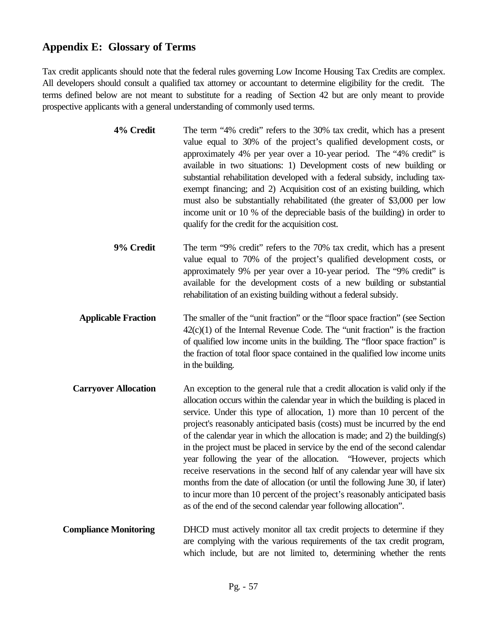# **Appendix E: Glossary of Terms**

Tax credit applicants should note that the federal rules governing Low Income Housing Tax Credits are complex. All developers should consult a qualified tax attorney or accountant to determine eligibility for the credit. The terms defined below are not meant to substitute for a reading of Section 42 but are only meant to provide prospective applicants with a general understanding of commonly used terms.

| 4% Credit | The term "4% credit" refers to the 30% tax credit, which has a present      |
|-----------|-----------------------------------------------------------------------------|
|           | value equal to 30% of the project's qualified development costs, or         |
|           | approximately 4% per year over a 10-year period. The "4% credit" is         |
|           | available in two situations: 1) Development costs of new building or        |
|           | substantial rehabilitation developed with a federal subsidy, including tax- |
|           | exempt financing; and 2) Acquisition cost of an existing building, which    |
|           | must also be substantially rehabilitated (the greater of \$3,000 per low    |
|           | income unit or 10 % of the depreciable basis of the building) in order to   |
|           | qualify for the credit for the acquisition cost.                            |

- **9% Credit** The term "9% credit" refers to the 70% tax credit, which has a present value equal to 70% of the project's qualified development costs, or approximately 9% per year over a 10-year period. The "9% credit" is available for the development costs of a new building or substantial rehabilitation of an existing building without a federal subsidy.
- **Applicable Fraction** The smaller of the "unit fraction" or the "floor space fraction" (see Section  $42(c)(1)$  of the Internal Revenue Code. The "unit fraction" is the fraction of qualified low income units in the building. The "floor space fraction" is the fraction of total floor space contained in the qualified low income units in the building.
- **Carryover Allocation** An exception to the general rule that a credit allocation is valid only if the allocation occurs within the calendar year in which the building is placed in service. Under this type of allocation, 1) more than 10 percent of the project's reasonably anticipated basis (costs) must be incurred by the end of the calendar year in which the allocation is made; and 2) the building(s) in the project must be placed in service by the end of the second calendar year following the year of the allocation. "However, projects which receive reservations in the second half of any calendar year will have six months from the date of allocation (or until the following June 30, if later) to incur more than 10 percent of the project's reasonably anticipated basis as of the end of the second calendar year following allocation".
- **Compliance Monitoring** DHCD must actively monitor all tax credit projects to determine if they are complying with the various requirements of the tax credit program, which include, but are not limited to, determining whether the rents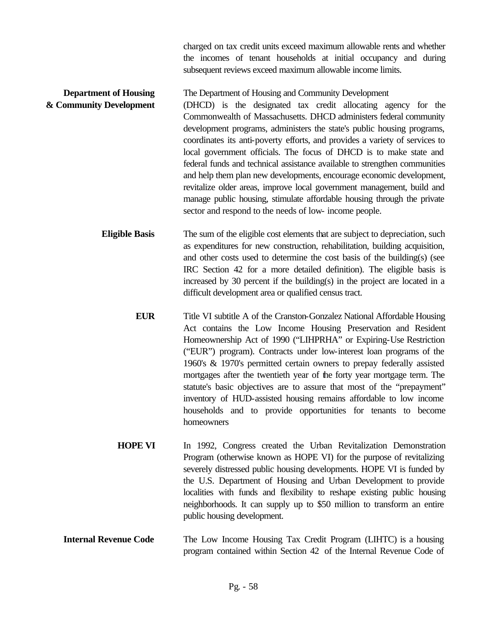charged on tax credit units exceed maximum allowable rents and whether the incomes of tenant households at initial occupancy and during subsequent reviews exceed maximum allowable income limits.

**Department of Housing The Department of Housing and Community Development & Community Development** (DHCD) is the designated tax credit allocating agency for the Commonwealth of Massachusetts. DHCD administers federal community development programs, administers the state's public housing programs, coordinates its anti-poverty efforts, and provides a variety of services to local government officials. The focus of DHCD is to make state and federal funds and technical assistance available to strengthen communities and help them plan new developments, encourage economic development, revitalize older areas, improve local government management, build and manage public housing, stimulate affordable housing through the private sector and respond to the needs of low- income people.

> **Eligible Basis** The sum of the eligible cost elements that are subject to depreciation, such as expenditures for new construction, rehabilitation, building acquisition, and other costs used to determine the cost basis of the building(s) (see IRC Section 42 for a more detailed definition). The eligible basis is increased by 30 percent if the building(s) in the project are located in a difficult development area or qualified census tract.

- **EUR** Title VI subtitle A of the Cranston-Gonzalez National Affordable Housing Act contains the Low Income Housing Preservation and Resident Homeownership Act of 1990 ("LIHPRHA" or Expiring-Use Restriction ("EUR") program). Contracts under low-interest loan programs of the 1960's & 1970's permitted certain owners to prepay federally assisted mortgages after the twentieth year of the forty year mortgage term. The statute's basic objectives are to assure that most of the "prepayment" inventory of HUD-assisted housing remains affordable to low income households and to provide opportunities for tenants to become homeowners
- **HOPE VI** In 1992, Congress created the Urban Revitalization Demonstration Program (otherwise known as HOPE VI) for the purpose of revitalizing severely distressed public housing developments. HOPE VI is funded by the U.S. Department of Housing and Urban Development to provide localities with funds and flexibility to reshape existing public housing neighborhoods. It can supply up to \$50 million to transform an entire public housing development.
- **Internal Revenue Code** The Low Income Housing Tax Credit Program (LIHTC) is a housing program contained within Section 42 of the Internal Revenue Code of